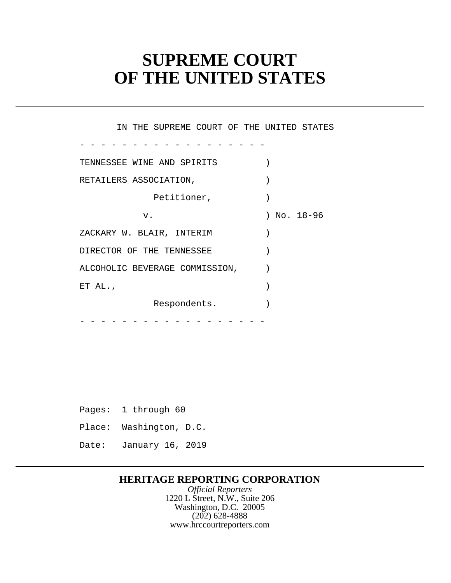# **SUPREME COURT OF THE UNITED STATES**

- - - - - - - - - - - - - - - - - - - - - - - - - - - - - - - - - - - - IN THE SUPREME COURT OF THE UNITED STATES TENNESSEE WINE AND SPIRITS ) RETAILERS ASSOCIATION,  $\qquad \qquad$ Petitioner,  $)$  v. ) No. 18-96 ZACKARY W. BLAIR, INTERIM ) DIRECTOR OF THE TENNESSEE  $)$ ALCOHOLIC BEVERAGE COMMISSION,  $)$ ET AL.,  $\qquad \qquad$ Respondents.

Pages: 1 through 60 Place: Washington, D.C. Date: January 16, 2019

# **HERITAGE REPORTING CORPORATION**

*Official Reporters* 1220 L Street, N.W., Suite 206 Washington, D.C. 20005 (202) 628-4888 <www.hrccourtreporters.com>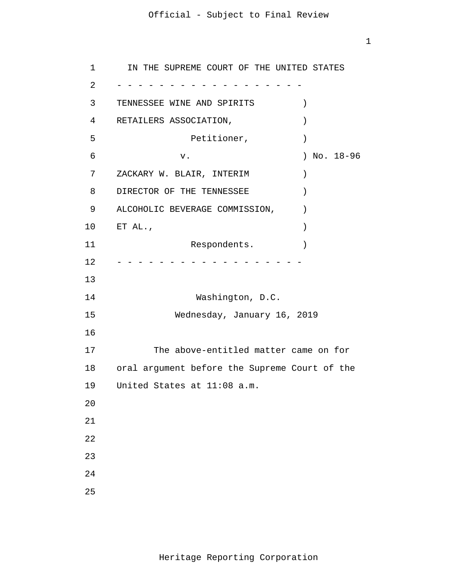$1<sup>1</sup>$ 

| $\mathbf{1}$   | IN THE SUPREME COURT OF THE UNITED STATES       |
|----------------|-------------------------------------------------|
| $\overline{2}$ |                                                 |
| 3              | TENNESSEE WINE AND SPIRITS<br>$\mathcal{C}$     |
| 4              | RETAILERS ASSOCIATION,<br>$\mathcal{E}$         |
| 5              | Petitioner,<br>$\mathcal{E}$                    |
| 6              | ) No. $18-96$<br>v.                             |
| 7              | ZACKARY W. BLAIR, INTERIM<br>$\lambda$          |
| 8              | DIRECTOR OF THE TENNESSEE<br>$\mathcal{E}$      |
| 9              | ALCOHOLIC BEVERAGE COMMISSION,<br>$\mathcal{E}$ |
| 10             | ET AL.,<br>$\mathcal{E}$                        |
| 11             | Respondents.                                    |
| 12             |                                                 |
| 13             |                                                 |
| 14             | Washington, D.C.                                |
| 15             | Wednesday, January 16, 2019                     |
| 16             |                                                 |
| 17             | The above-entitled matter came on for           |
| 18             | oral argument before the Supreme Court of the   |
| 19             | United States at 11:08 a.m.                     |
| 20             |                                                 |
| 21             |                                                 |
| 22             |                                                 |
| 23             |                                                 |
| 24             |                                                 |
| 25             |                                                 |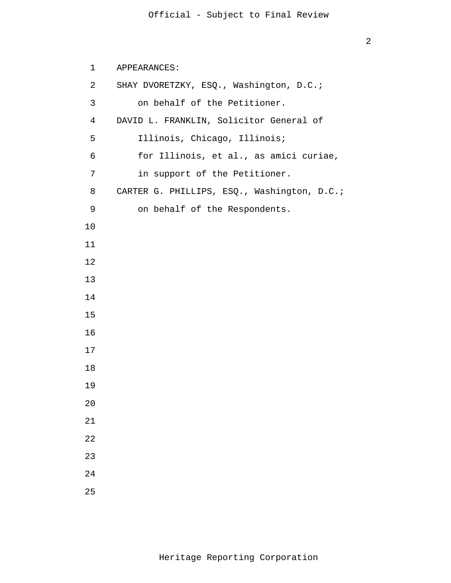```
 1 
 2 
 3 
            4 
5
\overline{6} 7 
 8 
 9 
           10
           11
           12
           13
           14
           15
           16
           17
           18
           19
           20
           21
           22
           23
           24
           25
               APPEARANCES: 
               SHAY DVORETZKY, ESQ., Washington, D.C.; 
                   on behalf of the Petitioner. 
               DAVID L. FRANKLIN, Solicitor General of 
                   Illinois, Chicago, Illinois; 
                   for Illinois, et al., as amici curiae, 
                   in support of the Petitioner. 
               CARTER G. PHILLIPS, ESQ., Washington, D.C.; 
                   on behalf of the Respondents.
```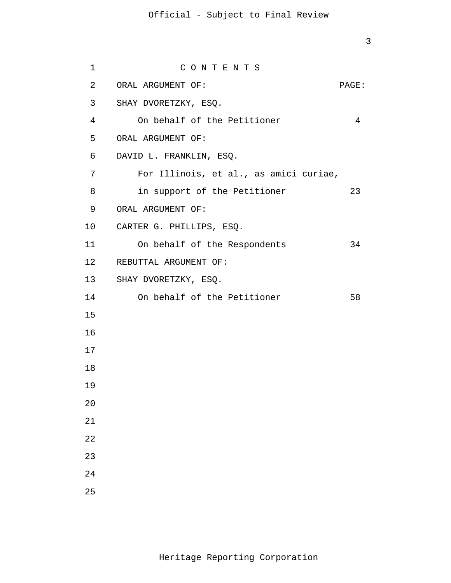```
 1 
           2 
 3 
SHAY DVORETZKY, ESQ. 
           4 
5
\overline{6} 7 
 8 
 9 
          10 
          11 
          12 
 13 
SHAY DVORETZKY, ESQ. 
          14 
          15
          16
          17
          18
          19
          20
          21
          22
          23
          24
          25
                       C O N T E N T S 
             ORAL ARGUMENT OF: PAGE:
                 On behalf of the Petitioner 4
             ORAL ARGUMENT OF: 
             DAVID L. FRANKLIN, ESQ. 
                 For Illinois, et al., as amici curiae, 
                 in support of the Petitioner 23
             ORAL ARGUMENT OF: 
            CARTER G. PHILLIPS, ESQ. 
                 On behalf of the Respondents 34 
            REBUTTAL ARGUMENT OF: 
               On behalf of the Petitioner 58
```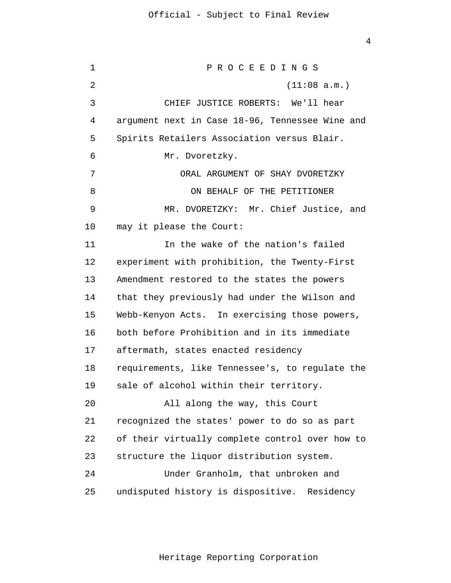1 2 3 4 **5**  $\overline{6}$  7 8 9 10 11 12 13 14 15 16 17 18 19 20 21 22 23 24 25 P R O C E E D I N G S (11:08 a.m.) CHIEF JUSTICE ROBERTS: We'll hear argument next in Case 18-96, Tennessee Wine and Spirits Retailers Association versus Blair. Mr. Dvoretzky. ORAL ARGUMENT OF SHAY DVORETZKY ON BEHALF OF THE PETITIONER MR. DVORETZKY: Mr. Chief Justice, and may it please the Court: In the wake of the nation's failed experiment with prohibition, the Twenty-First Amendment restored to the states the powers that they previously had under the Wilson and Webb-Kenyon Acts. In exercising those powers, both before Prohibition and in its immediate aftermath, states enacted residency requirements, like Tennessee's, to regulate the sale of alcohol within their territory. All along the way, this Court recognized the states' power to do so as part of their virtually complete control over how to structure the liquor distribution system. Under Granholm, that unbroken and undisputed history is dispositive. Residency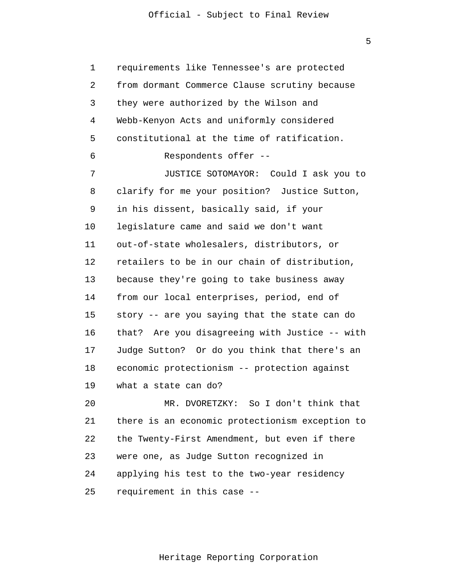$\overline{5}$ 

 1 2 3 4 **5**  $\overline{6}$  7 8 9 10 11 12 13 14 15 16 17 18 19 20 21 22 23 24 25 requirements like Tennessee's are protected from dormant Commerce Clause scrutiny because they were authorized by the Wilson and Webb-Kenyon Acts and uniformly considered constitutional at the time of ratification. Respondents offer -- JUSTICE SOTOMAYOR: Could I ask you to clarify for me your position? Justice Sutton, in his dissent, basically said, if your legislature came and said we don't want out-of-state wholesalers, distributors, or retailers to be in our chain of distribution, because they're going to take business away from our local enterprises, period, end of story -- are you saying that the state can do that? Are you disagreeing with Justice -- with Judge Sutton? Or do you think that there's an economic protectionism -- protection against what a state can do? MR. DVORETZKY: So I don't think that there is an economic protectionism exception to the Twenty-First Amendment, but even if there were one, as Judge Sutton recognized in applying his test to the two-year residency requirement in this case --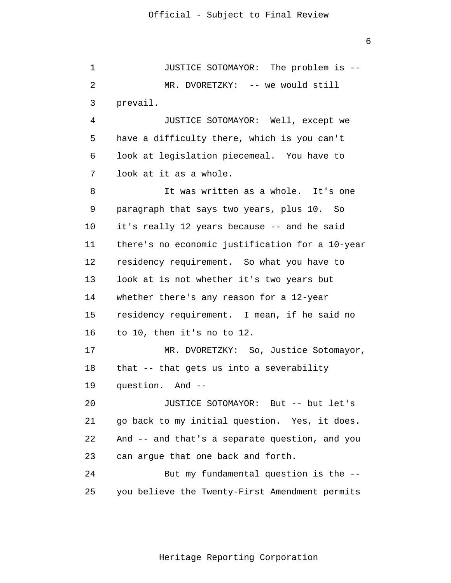$\overline{6}$ 

 1 2 3 4 **5**  $\overline{6}$  7 8 9 10 11 12 13 14 15 16 17 18 19 20 21 22 23 24 25 JUSTICE SOTOMAYOR: The problem is -- MR. DVORETZKY: -- we would still prevail. JUSTICE SOTOMAYOR: Well, except we have a difficulty there, which is you can't look at legislation piecemeal. You have to look at it as a whole. It was written as a whole. It's one paragraph that says two years, plus 10. So it's really 12 years because -- and he said there's no economic justification for a 10-year residency requirement. So what you have to look at is not whether it's two years but whether there's any reason for a 12-year residency requirement. I mean, if he said no to 10, then it's no to 12. MR. DVORETZKY: So, Justice Sotomayor, that -- that gets us into a severability question. And -- JUSTICE SOTOMAYOR: But -- but let's go back to my initial question. Yes, it does. And -- and that's a separate question, and you can argue that one back and forth. But my fundamental question is the - you believe the Twenty-First Amendment permits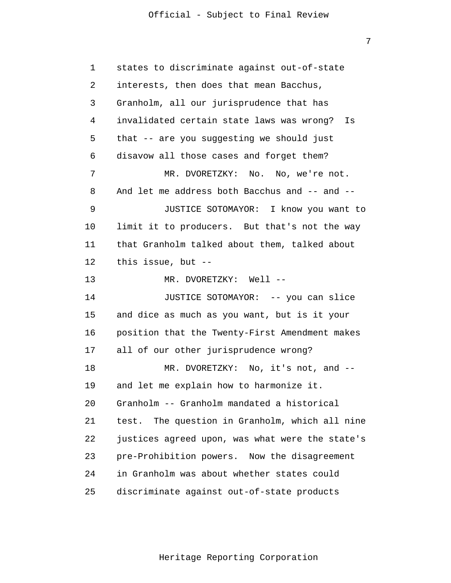1 2 3 4 **5**  $\overline{6}$  7 8 9 10 11 12 13 14 15 16 17 18 19 20 21 22 23 24 25 states to discriminate against out-of-state interests, then does that mean Bacchus, Granholm, all our jurisprudence that has invalidated certain state laws was wrong? Is that -- are you suggesting we should just disavow all those cases and forget them? MR. DVORETZKY: No. No, we're not. And let me address both Bacchus and -- and -- JUSTICE SOTOMAYOR: I know you want to limit it to producers. But that's not the way that Granholm talked about them, talked about this issue, but -- MR. DVORETZKY: Well --JUSTICE SOTOMAYOR: -- you can slice and dice as much as you want, but is it your position that the Twenty-First Amendment makes all of our other jurisprudence wrong? MR. DVORETZKY: No, it's not, and -and let me explain how to harmonize it. Granholm -- Granholm mandated a historical test. The question in Granholm, which all nine justices agreed upon, was what were the state's pre-Prohibition powers. Now the disagreement in Granholm was about whether states could discriminate against out-of-state products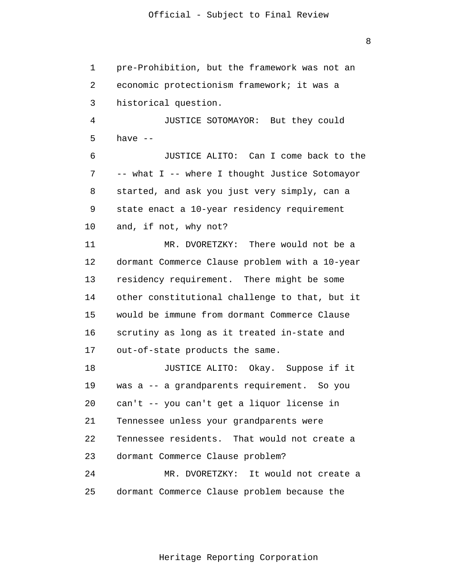1 2 3 4 **5**  $\overline{6}$  7 8 9 10 11 12 13 14 15 16 17 18 19 20 21 22 23 24 25 pre-Prohibition, but the framework was not an economic protectionism framework; it was a historical question. JUSTICE SOTOMAYOR: But they could have  $--$ JUSTICE ALITO: Can I come back to the -- what I -- where I thought Justice Sotomayor started, and ask you just very simply, can a state enact a 10-year residency requirement and, if not, why not? MR. DVORETZKY: There would not be a dormant Commerce Clause problem with a 10-year residency requirement. There might be some other constitutional challenge to that, but it would be immune from dormant Commerce Clause scrutiny as long as it treated in-state and out-of-state products the same. JUSTICE ALITO: Okay. Suppose if it was a -- a grandparents requirement. So you can't -- you can't get a liquor license in Tennessee unless your grandparents were Tennessee residents. That would not create a dormant Commerce Clause problem? MR. DVORETZKY: It would not create a dormant Commerce Clause problem because the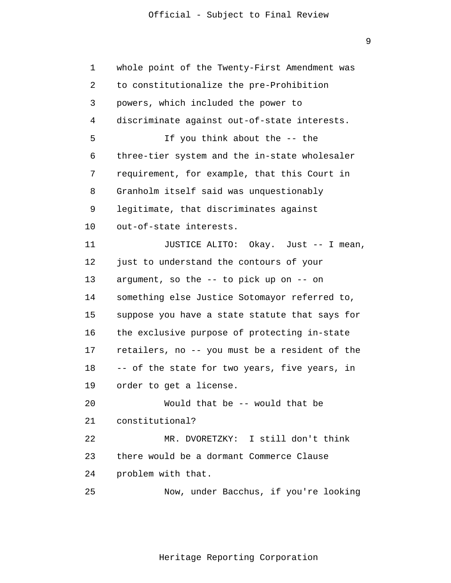9

| 1              | whole point of the Twenty-First Amendment was  |
|----------------|------------------------------------------------|
| 2              | to constitutionalize the pre-Prohibition       |
| 3              | powers, which included the power to            |
| $\overline{4}$ | discriminate against out-of-state interests.   |
| 5              | If you think about the -- the                  |
| 6              | three-tier system and the in-state wholesaler  |
| 7              | requirement, for example, that this Court in   |
| 8              | Granholm itself said was unquestionably        |
| 9              | legitimate, that discriminates against         |
| 10             | out-of-state interests.                        |
| 11             | JUSTICE ALITO: Okay. Just -- I mean,           |
| 12             | just to understand the contours of your        |
| 13             | argument, so the $-$ - to pick up on $-$ - on  |
| 14             | something else Justice Sotomayor referred to,  |
| 15             | suppose you have a state statute that says for |
| 16             | the exclusive purpose of protecting in-state   |
| 17             | retailers, no -- you must be a resident of the |
| 18             | -- of the state for two years, five years, in  |
| 19             | order to get a license.                        |
| 20             | Would that be -- would that be                 |
| 21             | constitutional?                                |
| 22             | MR. DVORETZKY: I still don't think             |
| 23             | there would be a dormant Commerce Clause       |
| 24             | problem with that.                             |
| 25             | Now, under Bacchus, if you're looking          |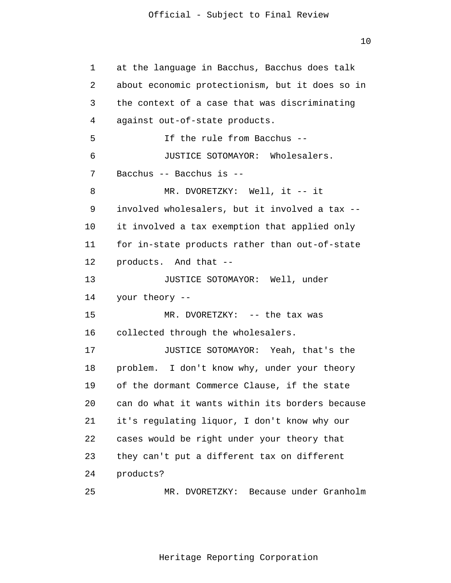10

 1 2 3 4 **5**  $\overline{6}$  7 8 9 10 11 12 13 14 15 16 17 18 19 20 21 22 23 24 25 at the language in Bacchus, Bacchus does talk about economic protectionism, but it does so in the context of a case that was discriminating against out-of-state products. If the rule from Bacchus -- JUSTICE SOTOMAYOR: Wholesalers. Bacchus -- Bacchus is -- MR. DVORETZKY: Well, it -- it involved wholesalers, but it involved a tax - it involved a tax exemption that applied only for in-state products rather than out-of-state products. And that -- JUSTICE SOTOMAYOR: Well, under your theory -- MR. DVORETZKY: -- the tax was collected through the wholesalers. JUSTICE SOTOMAYOR: Yeah, that's the problem. I don't know why, under your theory of the dormant Commerce Clause, if the state can do what it wants within its borders because it's regulating liquor, I don't know why our cases would be right under your theory that they can't put a different tax on different products? MR. DVORETZKY: Because under Granholm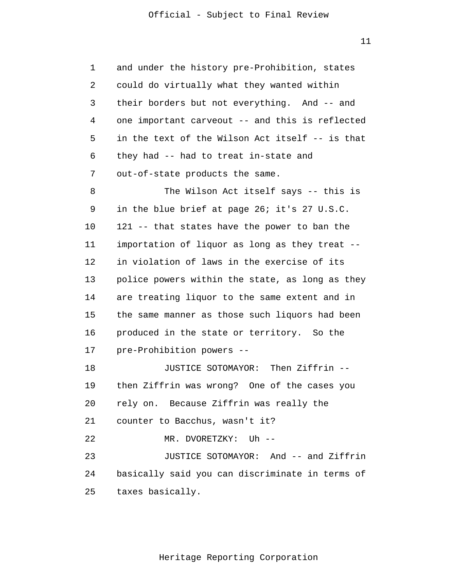1 2 3 4 **5**  $\overline{6}$  7 and under the history pre-Prohibition, states could do virtually what they wanted within their borders but not everything. And -- and one important carveout -- and this is reflected in the text of the Wilson Act itself -- is that they had -- had to treat in-state and out-of-state products the same.

 8 9 10 11 12 13 14 15 16 17 The Wilson Act itself says -- this is in the blue brief at page 26; it's 27 U.S.C. 121 -- that states have the power to ban the importation of liquor as long as they treat - in violation of laws in the exercise of its police powers within the state, as long as they are treating liquor to the same extent and in the same manner as those such liquors had been produced in the state or territory. So the pre-Prohibition powers --

> 18 19 20 21 22 23 24 JUSTICE SOTOMAYOR: Then Ziffrin - then Ziffrin was wrong? One of the cases you rely on. Because Ziffrin was really the counter to Bacchus, wasn't it? MR. DVORETZKY: Uh -- JUSTICE SOTOMAYOR: And -- and Ziffrin basically said you can discriminate in terms of

 25 taxes basically.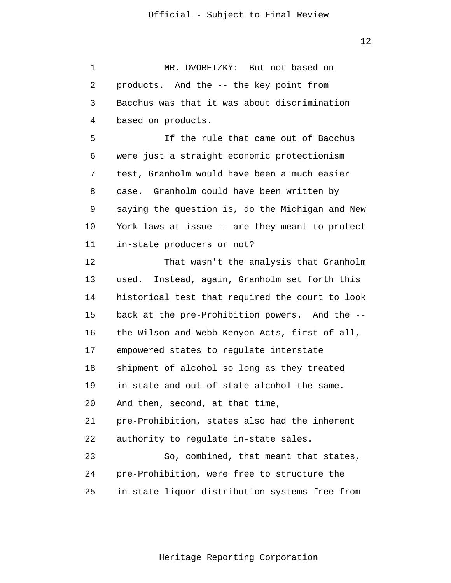| $\mathbf 1$ | MR. DVORETZKY: But not based on                  |
|-------------|--------------------------------------------------|
| 2           | products. And the -- the key point from          |
| 3           | Bacchus was that it was about discrimination     |
| 4           | based on products.                               |
| 5           | If the rule that came out of Bacchus             |
| 6           | were just a straight economic protectionism      |
| 7           | test, Granholm would have been a much easier     |
| 8           | case. Granholm could have been written by        |
| 9           | saying the question is, do the Michigan and New  |
| 10          | York laws at issue -- are they meant to protect  |
| 11          | in-state producers or not?                       |
| 12          | That wasn't the analysis that Granholm           |
| 13          | Instead, again, Granholm set forth this<br>used. |
| 14          | historical test that required the court to look  |
| 15          | back at the pre-Prohibition powers. And the --   |
| 16          | the Wilson and Webb-Kenyon Acts, first of all,   |
| 17          | empowered states to regulate interstate          |
| 18          | shipment of alcohol so long as they treated      |
| 19          | in-state and out-of-state alcohol the same.      |
| 20          | And then, second, at that time,                  |
| 21          | pre-Prohibition, states also had the inherent    |
| 22          | authority to regulate in-state sales.            |
| 23          | So, combined, that meant that states,            |
| 24          | pre-Prohibition, were free to structure the      |
| 25          | in-state liquor distribution systems free from   |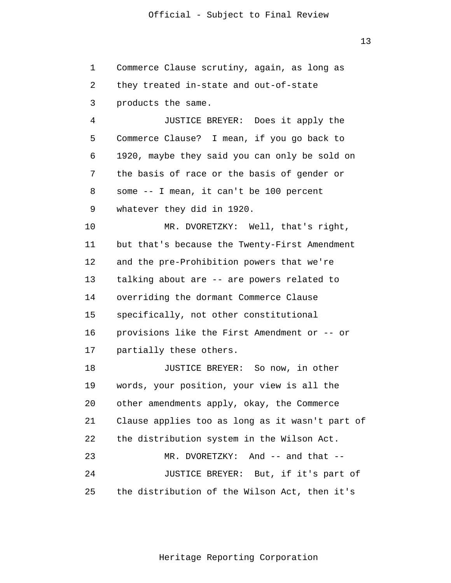13

 1 2 3 4 **5** Commerce Clause scrutiny, again, as long as they treated in-state and out-of-state products the same. JUSTICE BREYER: Does it apply the Commerce Clause? I mean, if you go back to

 $\overline{6}$  7 8 9 1920, maybe they said you can only be sold on the basis of race or the basis of gender or some -- I mean, it can't be 100 percent whatever they did in 1920.

> 10 11 12 13 14 15 16 17 MR. DVORETZKY: Well, that's right, but that's because the Twenty-First Amendment and the pre-Prohibition powers that we're talking about are -- are powers related to overriding the dormant Commerce Clause specifically, not other constitutional provisions like the First Amendment or -- or partially these others.

 18 19 20 21 22 23 24 25 JUSTICE BREYER: So now, in other words, your position, your view is all the other amendments apply, okay, the Commerce Clause applies too as long as it wasn't part of the distribution system in the Wilson Act. MR. DVORETZKY: And -- and that -- JUSTICE BREYER: But, if it's part of the distribution of the Wilson Act, then it's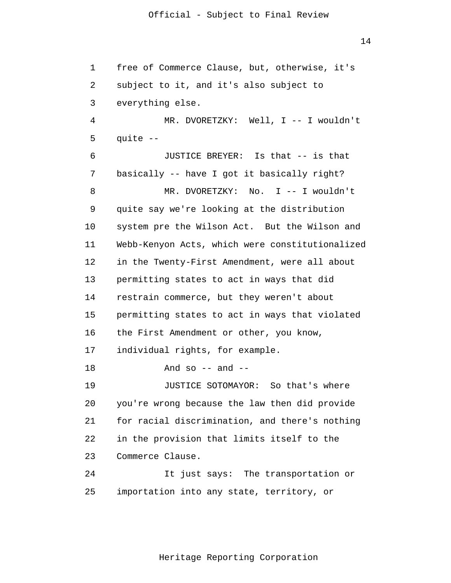1 2 3 4 **5**  $\overline{6}$  7 8 9 10 11 12 13 14 15 16 17 18 19 20 21 22 23 24 25 free of Commerce Clause, but, otherwise, it's subject to it, and it's also subject to everything else. MR. DVORETZKY: Well, I -- I wouldn't quite -- JUSTICE BREYER: Is that -- is that basically -- have I got it basically right? MR. DVORETZKY: No. I -- I wouldn't quite say we're looking at the distribution system pre the Wilson Act. But the Wilson and Webb-Kenyon Acts, which were constitutionalized in the Twenty-First Amendment, were all about permitting states to act in ways that did restrain commerce, but they weren't about permitting states to act in ways that violated the First Amendment or other, you know, individual rights, for example. And so  $-$  and  $-$ JUSTICE SOTOMAYOR: So that's where you're wrong because the law then did provide for racial discrimination, and there's nothing in the provision that limits itself to the Commerce Clause. It just says: The transportation or importation into any state, territory, or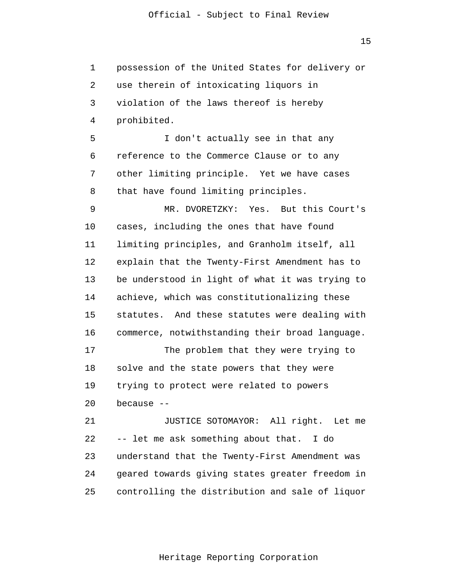1 2 3 4 **5**  $\overline{6}$  7 8 9 10 11 12 13 14 15 16 17 18 19 20 21 22 23 24 25 possession of the United States for delivery or use therein of intoxicating liquors in violation of the laws thereof is hereby prohibited. I don't actually see in that any reference to the Commerce Clause or to any other limiting principle. Yet we have cases that have found limiting principles. MR. DVORETZKY: Yes. But this Court's cases, including the ones that have found limiting principles, and Granholm itself, all explain that the Twenty-First Amendment has to be understood in light of what it was trying to achieve, which was constitutionalizing these statutes. And these statutes were dealing with commerce, notwithstanding their broad language. The problem that they were trying to solve and the state powers that they were trying to protect were related to powers because -- JUSTICE SOTOMAYOR: All right. Let me -- let me ask something about that. I do understand that the Twenty-First Amendment was geared towards giving states greater freedom in controlling the distribution and sale of liquor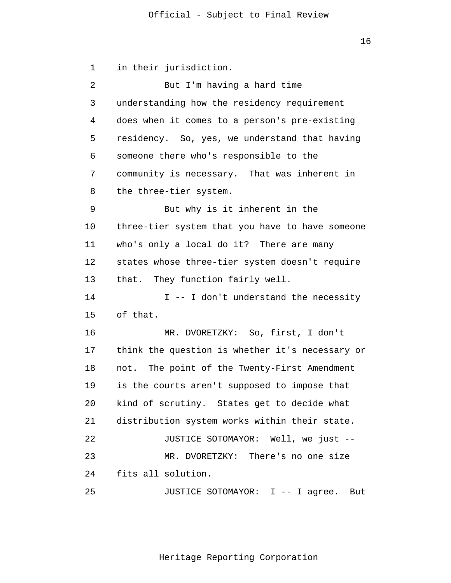16

 1 2 3 4 **5**  $\overline{6}$  7 8 9 10 11 12 13 14 15 16 17 18 19 20 21 22 23 24 25 in their jurisdiction. But I'm having a hard time understanding how the residency requirement does when it comes to a person's pre-existing residency. So, yes, we understand that having someone there who's responsible to the community is necessary. That was inherent in the three-tier system. But why is it inherent in the three-tier system that you have to have someone who's only a local do it? There are many states whose three-tier system doesn't require that. They function fairly well. I -- I don't understand the necessity of that. MR. DVORETZKY: So, first, I don't think the question is whether it's necessary or not. The point of the Twenty-First Amendment is the courts aren't supposed to impose that kind of scrutiny. States get to decide what distribution system works within their state. JUSTICE SOTOMAYOR: Well, we just -- MR. DVORETZKY: There's no one size fits all solution. JUSTICE SOTOMAYOR: I -- I agree. But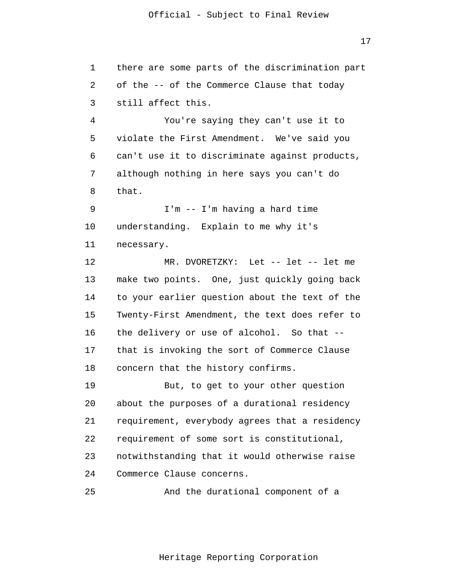1 2 3 4 **5**  $\overline{6}$  7 8 9 10 11 there are some parts of the discrimination part of the -- of the Commerce Clause that today still affect this. You're saying they can't use it to violate the First Amendment. We've said you can't use it to discriminate against products, although nothing in here says you can't do that. I'm -- I'm having a hard time understanding. Explain to me why it's necessary.

> 12 13 14 15 16 17 18 MR. DVORETZKY: Let -- let -- let me make two points. One, just quickly going back to your earlier question about the text of the Twenty-First Amendment, the text does refer to the delivery or use of alcohol. So that - that is invoking the sort of Commerce Clause concern that the history confirms.

> 19 20 21 22 23 24 But, to get to your other question about the purposes of a durational residency requirement, everybody agrees that a residency requirement of some sort is constitutional, notwithstanding that it would otherwise raise Commerce Clause concerns.

 25 And the durational component of a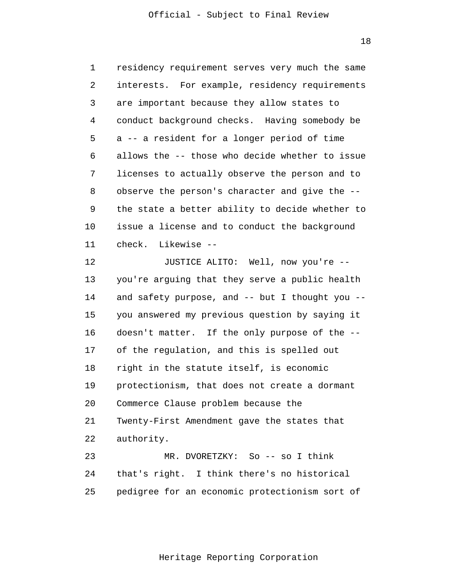18

 1 2 3 4 **5**  $\overline{6}$  7 8 9 10 11 12 13 14 15 16 17 18 19 20 21 22 23 24 25 residency requirement serves very much the same interests. For example, residency requirements are important because they allow states to conduct background checks. Having somebody be a -- a resident for a longer period of time allows the -- those who decide whether to issue licenses to actually observe the person and to observe the person's character and give the - the state a better ability to decide whether to issue a license and to conduct the background check. Likewise -- JUSTICE ALITO: Well, now you're - you're arguing that they serve a public health and safety purpose, and -- but I thought you - you answered my previous question by saying it doesn't matter. If the only purpose of the - of the regulation, and this is spelled out right in the statute itself, is economic protectionism, that does not create a dormant Commerce Clause problem because the Twenty-First Amendment gave the states that authority. MR. DVORETZKY: So -- so I think that's right. I think there's no historical pedigree for an economic protectionism sort of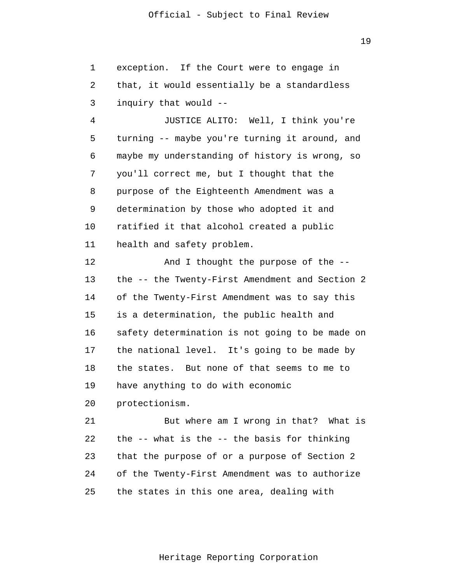1 2 3 exception. If the Court were to engage in that, it would essentially be a standardless inquiry that would --

 4 **5**  $\overline{6}$  7 8 9 10 11 JUSTICE ALITO: Well, I think you're turning -- maybe you're turning it around, and maybe my understanding of history is wrong, so you'll correct me, but I thought that the purpose of the Eighteenth Amendment was a determination by those who adopted it and ratified it that alcohol created a public health and safety problem.

> 12 13 14 15 16 17 18 19 20 And I thought the purpose of the - the -- the Twenty-First Amendment and Section 2 of the Twenty-First Amendment was to say this is a determination, the public health and safety determination is not going to be made on the national level. It's going to be made by the states. But none of that seems to me to have anything to do with economic protectionism.

> 21 22 23 24 25 But where am I wrong in that? What is the -- what is the -- the basis for thinking that the purpose of or a purpose of Section 2 of the Twenty-First Amendment was to authorize the states in this one area, dealing with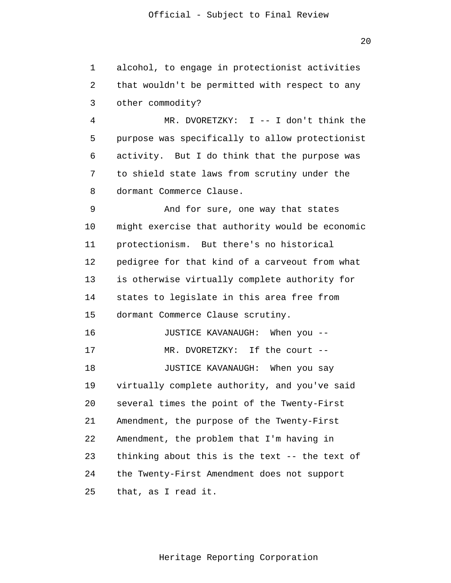1 2 3 alcohol, to engage in protectionist activities that wouldn't be permitted with respect to any other commodity?

 4 **5**  $\overline{6}$  7 8 MR. DVORETZKY: I -- I don't think the purpose was specifically to allow protectionist activity. But I do think that the purpose was to shield state laws from scrutiny under the dormant Commerce Clause.

 9 10 11 12 13 14 15 16 17 And for sure, one way that states might exercise that authority would be economic protectionism. But there's no historical pedigree for that kind of a carveout from what is otherwise virtually complete authority for states to legislate in this area free from dormant Commerce Clause scrutiny. JUSTICE KAVANAUGH: When you -- MR. DVORETZKY: If the court --

> 18 19 20 21 22 23 24 25 JUSTICE KAVANAUGH: When you say virtually complete authority, and you've said several times the point of the Twenty-First Amendment, the purpose of the Twenty-First Amendment, the problem that I'm having in thinking about this is the text -- the text of the Twenty-First Amendment does not support that, as I read it.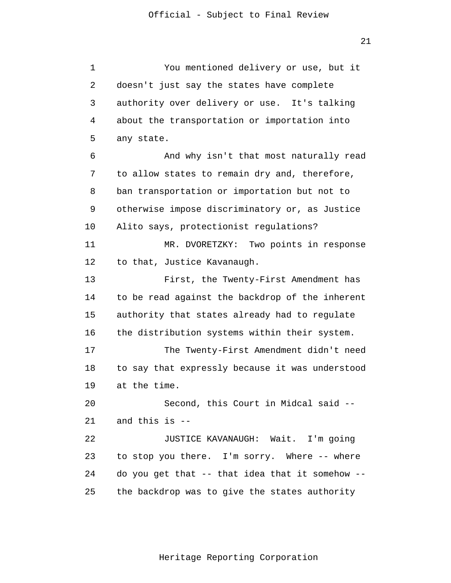1 2 3 4 **5**  $\overline{6}$  7 8 9 10 11 12 13 14 15 16 17 18 19 20 21 22 23 24 25 You mentioned delivery or use, but it doesn't just say the states have complete authority over delivery or use. It's talking about the transportation or importation into any state. And why isn't that most naturally read to allow states to remain dry and, therefore, ban transportation or importation but not to otherwise impose discriminatory or, as Justice Alito says, protectionist regulations? MR. DVORETZKY: Two points in response to that, Justice Kavanaugh. First, the Twenty-First Amendment has to be read against the backdrop of the inherent authority that states already had to regulate the distribution systems within their system. The Twenty-First Amendment didn't need to say that expressly because it was understood at the time. Second, this Court in Midcal said - and this is -- JUSTICE KAVANAUGH: Wait. I'm going to stop you there. I'm sorry. Where -- where do you get that -- that idea that it somehow - the backdrop was to give the states authority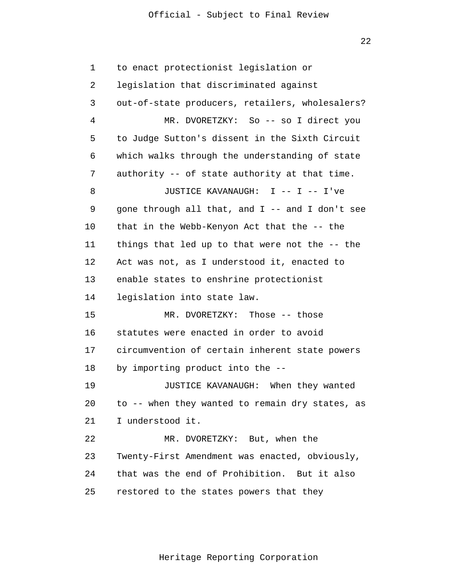22

 1 2 3 4 **5**  $\overline{6}$  7 8 9 10 11 12 13 14 15 16 17 18 19 20 21 22 23 24 25 to enact protectionist legislation or legislation that discriminated against out-of-state producers, retailers, wholesalers? MR. DVORETZKY: So -- so I direct you to Judge Sutton's dissent in the Sixth Circuit which walks through the understanding of state authority -- of state authority at that time. JUSTICE KAVANAUGH: I -- I -- I've gone through all that, and I -- and I don't see that in the Webb-Kenyon Act that the -- the things that led up to that were not the -- the Act was not, as I understood it, enacted to enable states to enshrine protectionist legislation into state law. MR. DVORETZKY: Those -- those statutes were enacted in order to avoid circumvention of certain inherent state powers by importing product into the -- JUSTICE KAVANAUGH: When they wanted to -- when they wanted to remain dry states, as I understood it. MR. DVORETZKY: But, when the Twenty-First Amendment was enacted, obviously, that was the end of Prohibition. But it also restored to the states powers that they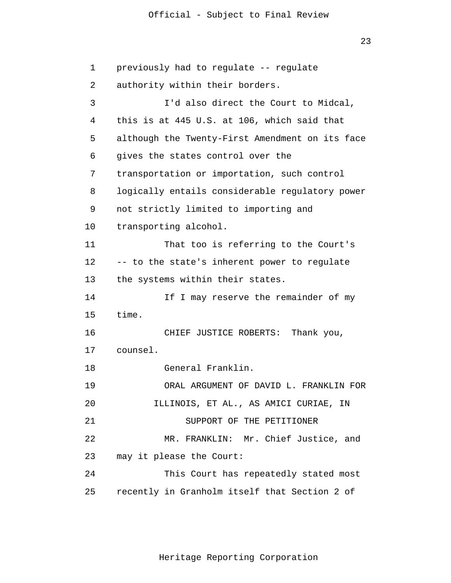23

```
 1 
 2 
 3 
 4 
5
\overline{6} 7 
 8 
 9 
            10 
            11 
            12 
            13 
            14 
            15 
            16 
            17 
            18 
            19 
            20 
            21 
            22 
            23 
            24 
            25 
                 previously had to regulate -- regulate 
                 authority within their borders. 
                          I'd also direct the Court to Midcal, 
                 this is at 445 U.S. at 106, which said that 
                 although the Twenty-First Amendment on its face 
                 gives the states control over the 
                 transportation or importation, such control 
                 logically entails considerable regulatory power 
                 not strictly limited to importing and 
                 transporting alcohol. 
                          That too is referring to the Court's 
                 -- to the state's inherent power to regulate 
                 the systems within their states. 
                          If I may reserve the remainder of my 
                 time. 
                          CHIEF JUSTICE ROBERTS: Thank you, 
                 counsel. 
                          General Franklin. 
                          ORAL ARGUMENT OF DAVID L. FRANKLIN FOR 
                        ILLINOIS, ET AL., AS AMICI CURIAE, IN 
                              SUPPORT OF THE PETITIONER 
                          MR. FRANKLIN: Mr. Chief Justice, and 
                 may it please the Court: 
                          This Court has repeatedly stated most 
                 recently in Granholm itself that Section 2 of
```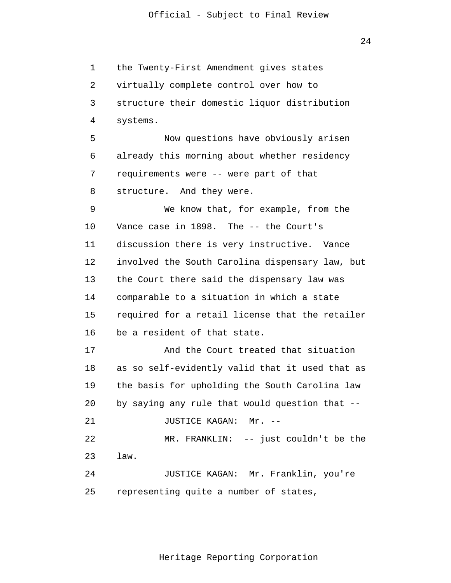1 2 3 4 **5**  6 7 8 9 10 11 12 13 14 15 16 17 18 19 20 21 22 23 24 25 the Twenty-First Amendment gives states virtually complete control over how to structure their domestic liquor distribution systems. Now questions have obviously arisen already this morning about whether residency requirements were -- were part of that structure. And they were. We know that, for example, from the Vance case in 1898. The -- the Court's discussion there is very instructive. Vance involved the South Carolina dispensary law, but the Court there said the dispensary law was comparable to a situation in which a state required for a retail license that the retailer be a resident of that state. And the Court treated that situation as so self-evidently valid that it used that as the basis for upholding the South Carolina law by saying any rule that would question that -- JUSTICE KAGAN: Mr. -- MR. FRANKLIN: -- just couldn't be the law. JUSTICE KAGAN: Mr. Franklin, you're representing quite a number of states,

Heritage Reporting Corporation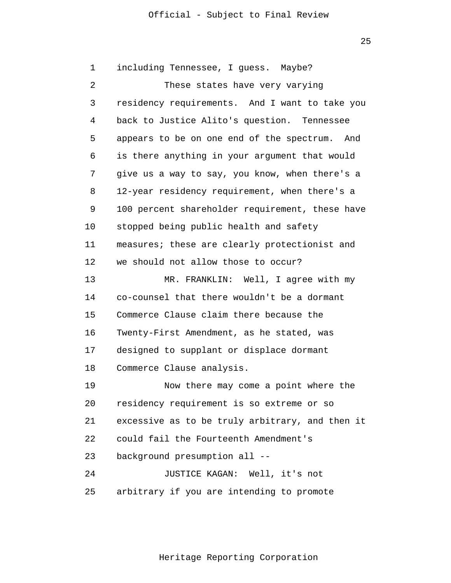<u>25 and 25 and 25 and 25 and 25 and 25 and 25 and 25 and 25 and 25 and 25 and 25 and 25 and 25 and 25 and 25 and 25 and 25 and 25 and 25 and 25 and 25 and 25 and 25 and 25 and 26 and 26 and 26 and 26 and 26 and 26 and 26 a</u>

 1 2 3 4 **5**  6 7 8 9 10 11 12 13 14 15 16 17 18 19 20 21 22 23 24 25 including Tennessee, I guess. Maybe? These states have very varying residency requirements. And I want to take you back to Justice Alito's question. Tennessee appears to be on one end of the spectrum. And is there anything in your argument that would give us a way to say, you know, when there's a 12-year residency requirement, when there's a 100 percent shareholder requirement, these have stopped being public health and safety measures; these are clearly protectionist and we should not allow those to occur? MR. FRANKLIN: Well, I agree with my co-counsel that there wouldn't be a dormant Commerce Clause claim there because the Twenty-First Amendment, as he stated, was designed to supplant or displace dormant Commerce Clause analysis. Now there may come a point where the residency requirement is so extreme or so excessive as to be truly arbitrary, and then it could fail the Fourteenth Amendment's background presumption all -- JUSTICE KAGAN: Well, it's not arbitrary if you are intending to promote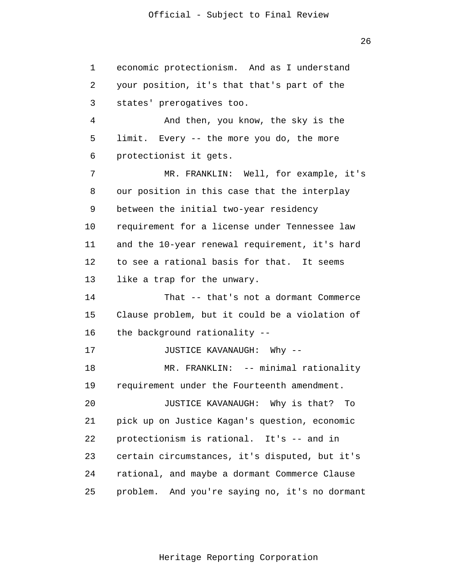1 2 3 4 **5**  6 7 8 9 10 11 12 13 14 15 16 17 18 19 20 21 22 23 24 25 economic protectionism. And as I understand your position, it's that that's part of the states' prerogatives too. And then, you know, the sky is the limit. Every -- the more you do, the more protectionist it gets. MR. FRANKLIN: Well, for example, it's our position in this case that the interplay between the initial two-year residency requirement for a license under Tennessee law and the 10-year renewal requirement, it's hard to see a rational basis for that. It seems like a trap for the unwary. That -- that's not a dormant Commerce Clause problem, but it could be a violation of the background rationality -- JUSTICE KAVANAUGH: Why -- MR. FRANKLIN: -- minimal rationality requirement under the Fourteenth amendment. JUSTICE KAVANAUGH: Why is that? To pick up on Justice Kagan's question, economic protectionism is rational. It's -- and in certain circumstances, it's disputed, but it's rational, and maybe a dormant Commerce Clause problem. And you're saying no, it's no dormant

Heritage Reporting Corporation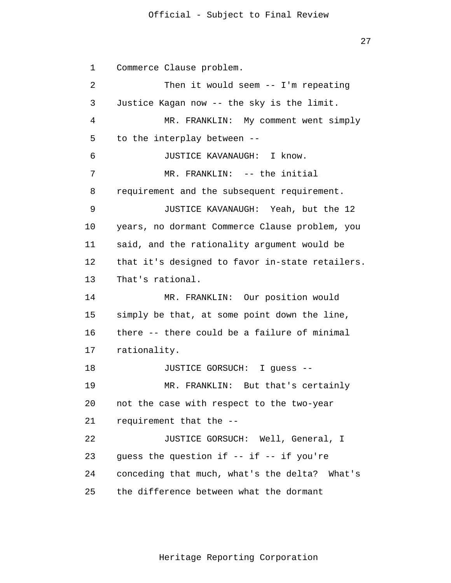27

 1 2 3 4 **5**  $\overline{6}$  7 8 9 10 11 12 13 14 15 16 17 18 19 20 21 22 23 24 25 Commerce Clause problem. Then it would seem -- I'm repeating Justice Kagan now -- the sky is the limit. MR. FRANKLIN: My comment went simply to the interplay between -- JUSTICE KAVANAUGH: I know. MR. FRANKLIN: -- the initial requirement and the subsequent requirement. JUSTICE KAVANAUGH: Yeah, but the 12 years, no dormant Commerce Clause problem, you said, and the rationality argument would be that it's designed to favor in-state retailers. That's rational. MR. FRANKLIN: Our position would simply be that, at some point down the line, there -- there could be a failure of minimal rationality. JUSTICE GORSUCH: I guess -- MR. FRANKLIN: But that's certainly not the case with respect to the two-year requirement that the -- JUSTICE GORSUCH: Well, General, I guess the question if  $--$  if  $--$  if you're conceding that much, what's the delta? What's the difference between what the dormant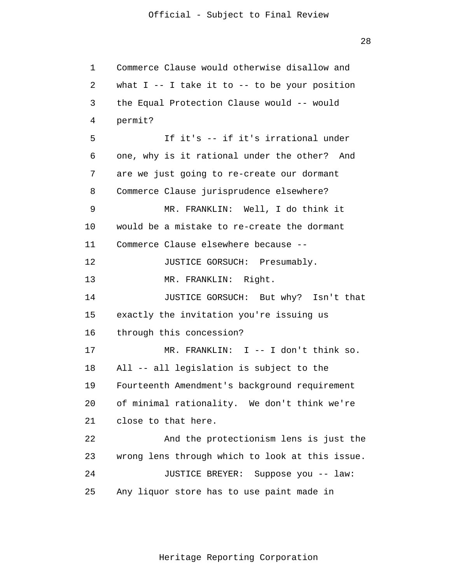28

```
 1 
 2 
 3 
 4 
5
\overline{6} 7 
 8 
 9 
            10 
            11 
            12 
            13 
            14 
            15 
            16 
            17 
            18 
            19 
            20 
            21 
            22 
            23 
            24 
            25 
                 Commerce Clause would otherwise disallow and 
                 what I -- I take it to -- to be your position
                 the Equal Protection Clause would -- would 
                 permit? 
                          If it's -- if it's irrational under 
                 one, why is it rational under the other? And 
                 are we just going to re-create our dormant 
                 Commerce Clause jurisprudence elsewhere? 
                          MR. FRANKLIN: Well, I do think it 
                 would be a mistake to re-create the dormant 
                 Commerce Clause elsewhere because --
                          JUSTICE GORSUCH: Presumably. 
                         MR. FRANKLIN: Right. 
                          JUSTICE GORSUCH: But why? Isn't that 
                 exactly the invitation you're issuing us 
                 through this concession? 
                          MR. FRANKLIN: I -- I don't think so. 
                 All -- all legislation is subject to the 
                 Fourteenth Amendment's background requirement 
                 of minimal rationality. We don't think we're 
                 close to that here. 
                          And the protectionism lens is just the 
                 wrong lens through which to look at this issue. 
                          JUSTICE BREYER: Suppose you -- law: 
                 Any liquor store has to use paint made in
```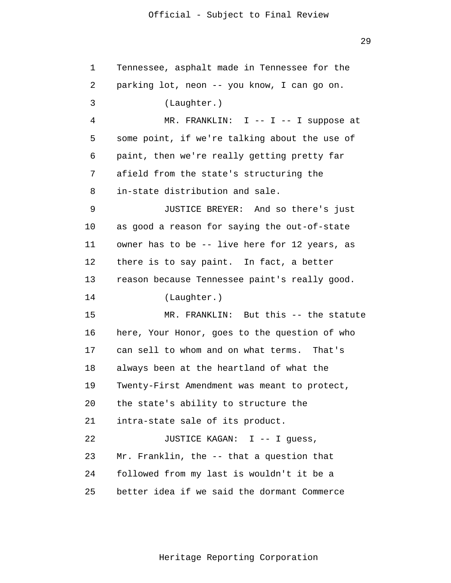29

| $\mathbf 1$ | Tennessee, asphalt made in Tennessee for the  |
|-------------|-----------------------------------------------|
| 2           | parking lot, neon -- you know, I can go on.   |
| 3           | (Laughter.)                                   |
| 4           | MR. FRANKLIN: I -- I -- I suppose at          |
| 5           | some point, if we're talking about the use of |
| 6           | paint, then we're really getting pretty far   |
| 7           | afield from the state's structuring the       |
| 8           | in-state distribution and sale.               |
| 9           | JUSTICE BREYER: And so there's just           |
| 10          | as good a reason for saying the out-of-state  |
| 11          | owner has to be -- live here for 12 years, as |
| 12          | there is to say paint. In fact, a better      |
| 13          | reason because Tennessee paint's really good. |
| 14          | (Laughter.)                                   |
| 15          | MR. FRANKLIN: But this -- the statute         |
| 16          | here, Your Honor, goes to the question of who |
| 17          | can sell to whom and on what terms. That's    |
| 18          | always been at the heartland of what the      |
| 19          | Twenty-First Amendment was meant to protect,  |
| 20          | the state's ability to structure the          |
| 21          | intra-state sale of its product.              |
| 22          | JUSTICE KAGAN: I -- I guess,                  |
| 23          | Mr. Franklin, the -- that a question that     |
| 24          | followed from my last is wouldn't it be a     |
| 25          | better idea if we said the dormant Commerce   |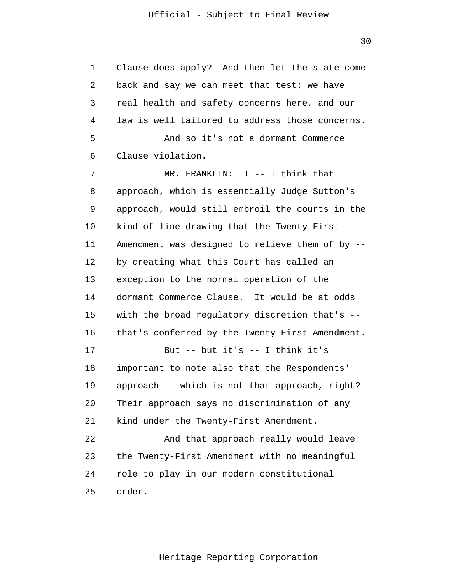30

 1 2 3 4 **5**  $\overline{6}$  7 8 9 10 11 12 13 14 15 16 17 18 19 20 21 22 23 24 25 Clause does apply? And then let the state come back and say we can meet that test; we have real health and safety concerns here, and our law is well tailored to address those concerns. And so it's not a dormant Commerce Clause violation. MR. FRANKLIN: I -- I think that approach, which is essentially Judge Sutton's approach, would still embroil the courts in the kind of line drawing that the Twenty-First Amendment was designed to relieve them of by - by creating what this Court has called an exception to the normal operation of the dormant Commerce Clause. It would be at odds with the broad regulatory discretion that's - that's conferred by the Twenty-First Amendment. But -- but it's -- I think it's important to note also that the Respondents' approach -- which is not that approach, right? Their approach says no discrimination of any kind under the Twenty-First Amendment. And that approach really would leave the Twenty-First Amendment with no meaningful role to play in our modern constitutional order.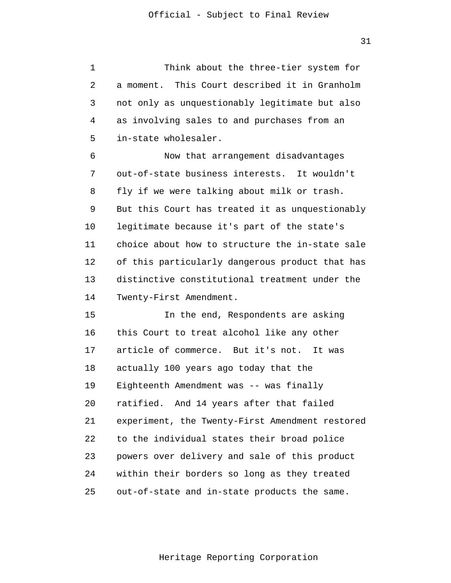1 2 3 4 **5** Think about the three-tier system for a moment. This Court described it in Granholm not only as unquestionably legitimate but also as involving sales to and purchases from an in-state wholesaler.

 $\overline{6}$  7 8 9 10 11 12 13 14 Now that arrangement disadvantages out-of-state business interests. It wouldn't fly if we were talking about milk or trash. But this Court has treated it as unquestionably legitimate because it's part of the state's choice about how to structure the in-state sale of this particularly dangerous product that has distinctive constitutional treatment under the Twenty-First Amendment.

> 15 16 17 18 19 20 21 22 23 24 25 In the end, Respondents are asking this Court to treat alcohol like any other article of commerce. But it's not. It was actually 100 years ago today that the Eighteenth Amendment was -- was finally ratified. And 14 years after that failed experiment, the Twenty-First Amendment restored to the individual states their broad police powers over delivery and sale of this product within their borders so long as they treated out-of-state and in-state products the same.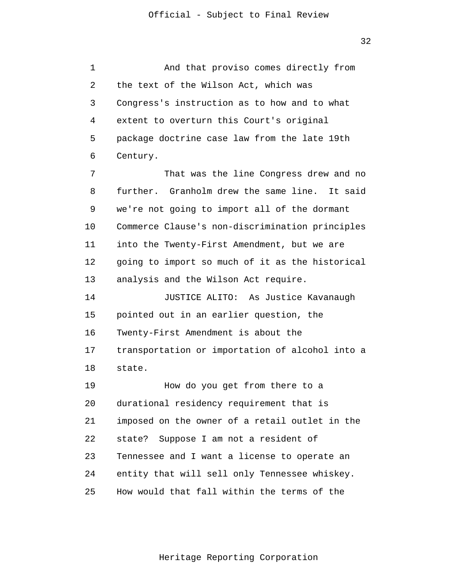32

 1 2 3 4 **5**  $\overline{6}$  7 8 9 10 11 12 13 14 15 16 17 18 19 20 21 22 23 24 25 And that proviso comes directly from the text of the Wilson Act, which was Congress's instruction as to how and to what extent to overturn this Court's original package doctrine case law from the late 19th Century. That was the line Congress drew and no further. Granholm drew the same line. It said we're not going to import all of the dormant Commerce Clause's non-discrimination principles into the Twenty-First Amendment, but we are going to import so much of it as the historical analysis and the Wilson Act require. JUSTICE ALITO: As Justice Kavanaugh pointed out in an earlier question, the Twenty-First Amendment is about the transportation or importation of alcohol into a state. How do you get from there to a durational residency requirement that is imposed on the owner of a retail outlet in the state? Suppose I am not a resident of Tennessee and I want a license to operate an entity that will sell only Tennessee whiskey. How would that fall within the terms of the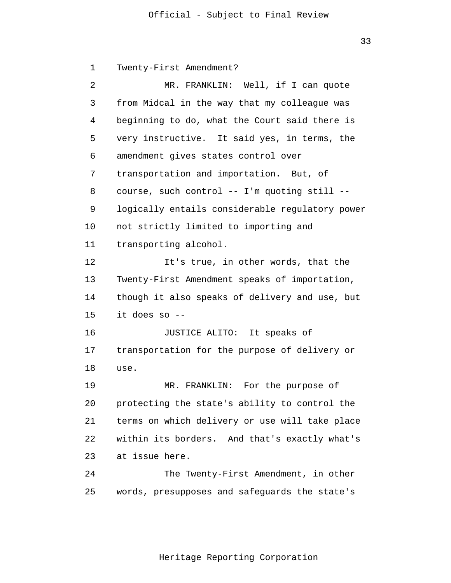33

 1 2 3 4 **5**  $\overline{6}$  7 8 9 10 11 12 13 14 15 16 17 18 19 20 21 22 23 24 25 Twenty-First Amendment? MR. FRANKLIN: Well, if I can quote from Midcal in the way that my colleague was beginning to do, what the Court said there is very instructive. It said yes, in terms, the amendment gives states control over transportation and importation. But, of course, such control -- I'm quoting still - logically entails considerable regulatory power not strictly limited to importing and transporting alcohol. It's true, in other words, that the Twenty-First Amendment speaks of importation, though it also speaks of delivery and use, but it does so -- JUSTICE ALITO: It speaks of transportation for the purpose of delivery or use. MR. FRANKLIN: For the purpose of protecting the state's ability to control the terms on which delivery or use will take place within its borders. And that's exactly what's at issue here. The Twenty-First Amendment, in other words, presupposes and safeguards the state's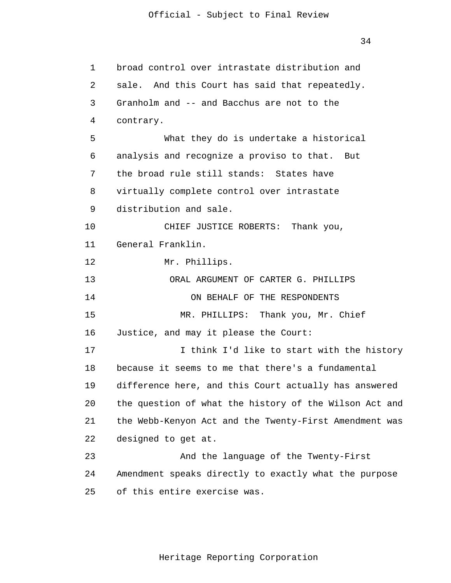| $\mathbf 1$ | broad control over intrastate distribution and         |
|-------------|--------------------------------------------------------|
| 2           | sale. And this Court has said that repeatedly.         |
| 3           | Granholm and -- and Bacchus are not to the             |
| 4           | contrary.                                              |
| 5           | What they do is undertake a historical                 |
| 6           | analysis and recognize a proviso to that. But          |
| 7           | the broad rule still stands: States have               |
| 8           | virtually complete control over intrastate             |
| 9           | distribution and sale.                                 |
| 10          | CHIEF JUSTICE ROBERTS:<br>Thank you,                   |
| 11          | General Franklin.                                      |
| 12          | Mr. Phillips.                                          |
| 13          | ORAL ARGUMENT OF CARTER G. PHILLIPS                    |
| 14          | ON BEHALF OF THE RESPONDENTS                           |
| 15          | MR. PHILLIPS: Thank you, Mr. Chief                     |
| 16          | Justice, and may it please the Court:                  |
| 17          | I think I'd like to start with the history             |
| 18          | because it seems to me that there's a fundamental      |
| 19          | difference here, and this Court actually has answered  |
| 20          | the question of what the history of the Wilson Act and |
| 21          | the Webb-Kenyon Act and the Twenty-First Amendment was |
| 22          | designed to get at.                                    |
| 23          | And the language of the Twenty-First                   |
| 24          | Amendment speaks directly to exactly what the purpose  |
| 25          | of this entire exercise was.                           |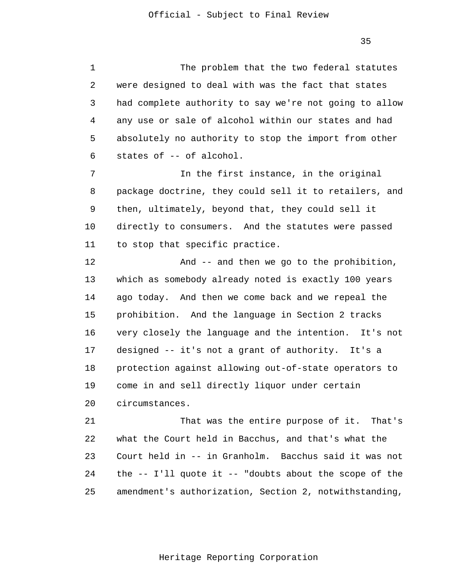1 2 3 4 **5**  $\overline{6}$  7 8 9 10 11 12 13 14 15 16 17 18 19 20 21 22 23 24 25 The problem that the two federal statutes were designed to deal with was the fact that states had complete authority to say we're not going to allow any use or sale of alcohol within our states and had absolutely no authority to stop the import from other states of -- of alcohol. In the first instance, in the original package doctrine, they could sell it to retailers, and then, ultimately, beyond that, they could sell it directly to consumers. And the statutes were passed to stop that specific practice. And -- and then we go to the prohibition, which as somebody already noted is exactly 100 years ago today. And then we come back and we repeal the prohibition. And the language in Section 2 tracks very closely the language and the intention. It's not designed -- it's not a grant of authority. It's a protection against allowing out-of-state operators to come in and sell directly liquor under certain circumstances. That was the entire purpose of it. That's what the Court held in Bacchus, and that's what the Court held in -- in Granholm. Bacchus said it was not the  $-$ - I'll quote it  $-$ - "doubts about the scope of the amendment's authorization, Section 2, notwithstanding,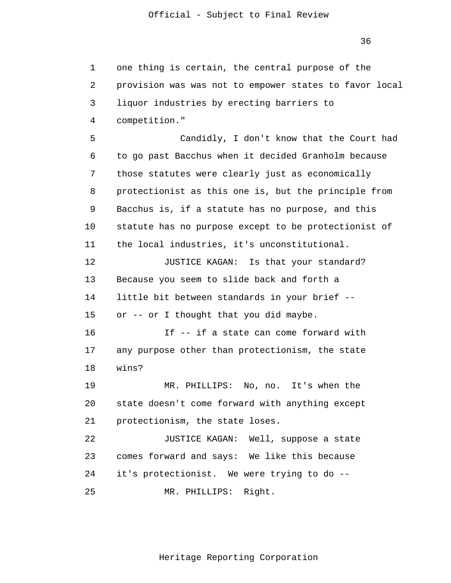1 2 3 4 **5**  $\overline{6}$  7 8 9 10 11 12 13 14 15 16 17 18 19 20 21 22 23 24 25 one thing is certain, the central purpose of the provision was was not to empower states to favor local liquor industries by erecting barriers to competition." Candidly, I don't know that the Court had to go past Bacchus when it decided Granholm because those statutes were clearly just as economically protectionist as this one is, but the principle from Bacchus is, if a statute has no purpose, and this statute has no purpose except to be protectionist of the local industries, it's unconstitutional. JUSTICE KAGAN: Is that your standard? Because you seem to slide back and forth a little bit between standards in your brief - or -- or I thought that you did maybe. If -- if a state can come forward with any purpose other than protectionism, the state wins? MR. PHILLIPS: No, no. It's when the state doesn't come forward with anything except protectionism, the state loses. JUSTICE KAGAN: Well, suppose a state comes forward and says: We like this because it's protectionist. We were trying to do -- MR. PHILLIPS: Right.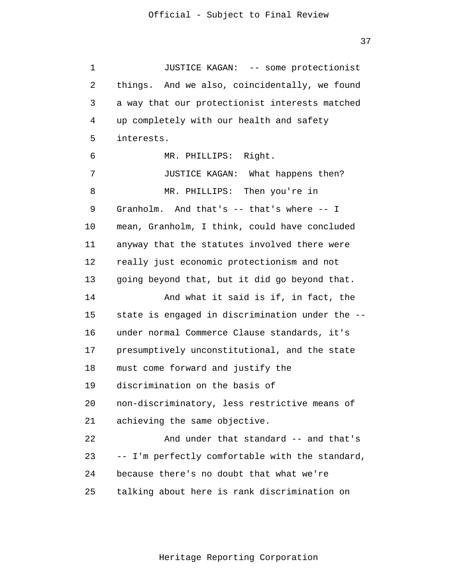1 2 3 4 **5**  $\overline{6}$  7 8 9 10 11 12 13 14 15 16 17 18 19 20 21 22 23 24 25 JUSTICE KAGAN: -- some protectionist things. And we also, coincidentally, we found a way that our protectionist interests matched up completely with our health and safety interests. MR. PHILLIPS: Right. JUSTICE KAGAN: What happens then? MR. PHILLIPS: Then you're in Granholm. And that's -- that's where -- I mean, Granholm, I think, could have concluded anyway that the statutes involved there were really just economic protectionism and not going beyond that, but it did go beyond that. And what it said is if, in fact, the state is engaged in discrimination under the - under normal Commerce Clause standards, it's presumptively unconstitutional, and the state must come forward and justify the discrimination on the basis of non-discriminatory, less restrictive means of achieving the same objective. And under that standard -- and that's -- I'm perfectly comfortable with the standard, because there's no doubt that what we're talking about here is rank discrimination on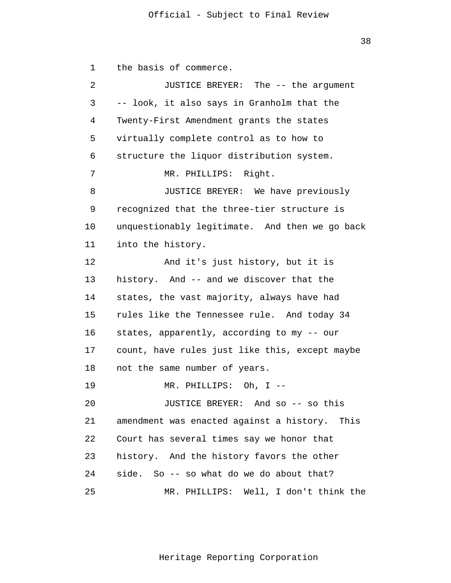38

 1 2 3 4 **5**  $\overline{6}$  7 8 9 10 11 12 13 14 15 16 17 18 19 20 21 22 23 24 25 the basis of commerce. JUSTICE BREYER: The -- the argument -- look, it also says in Granholm that the Twenty-First Amendment grants the states virtually complete control as to how to structure the liquor distribution system. MR. PHILLIPS: Right. JUSTICE BREYER: We have previously recognized that the three-tier structure is unquestionably legitimate. And then we go back into the history. And it's just history, but it is history. And -- and we discover that the states, the vast majority, always have had rules like the Tennessee rule. And today 34 states, apparently, according to my -- our count, have rules just like this, except maybe not the same number of years. MR. PHILLIPS: Oh, I -- JUSTICE BREYER: And so -- so this amendment was enacted against a history. This Court has several times say we honor that history. And the history favors the other side. So -- so what do we do about that? MR. PHILLIPS: Well, I don't think the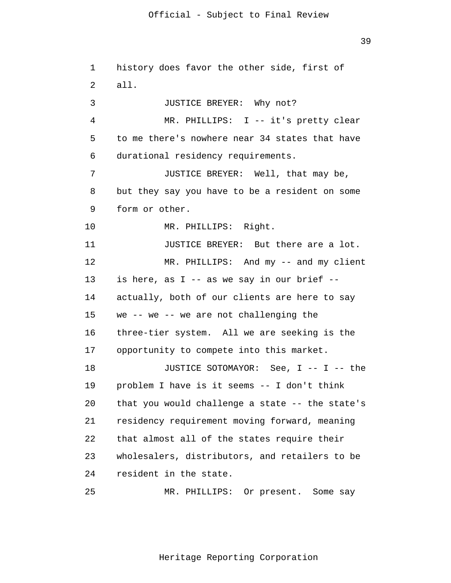1 2 3 4 **5**  $\overline{6}$  7 8 9 10 11 12 13 14 15 16 17 18 19 20 21 22 23 24 history does favor the other side, first of all. JUSTICE BREYER: Why not? MR. PHILLIPS: I -- it's pretty clear to me there's nowhere near 34 states that have durational residency requirements. JUSTICE BREYER: Well, that may be, but they say you have to be a resident on some form or other. MR. PHILLIPS: Right. JUSTICE BREYER: But there are a lot. MR. PHILLIPS: And my -- and my client is here, as I -- as we say in our brief - actually, both of our clients are here to say we -- we -- we are not challenging the three-tier system. All we are seeking is the opportunity to compete into this market. JUSTICE SOTOMAYOR: See, I -- I -- the problem I have is it seems -- I don't think that you would challenge a state -- the state's residency requirement moving forward, meaning that almost all of the states require their wholesalers, distributors, and retailers to be resident in the state.

25

Heritage Reporting Corporation

MR. PHILLIPS: Or present. Some say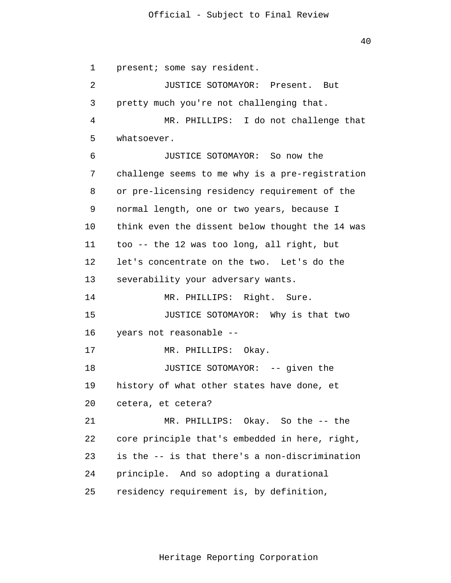40

 1 2 3 4 **5**  $\overline{6}$  7 8 9 10 11 12 13 14 15 16 17 18 19 20 21 22 23 24 25 present; some say resident. JUSTICE SOTOMAYOR: Present. But pretty much you're not challenging that. MR. PHILLIPS: I do not challenge that whatsoever. JUSTICE SOTOMAYOR: So now the challenge seems to me why is a pre-registration or pre-licensing residency requirement of the normal length, one or two years, because I think even the dissent below thought the 14 was too -- the 12 was too long, all right, but let's concentrate on the two. Let's do the severability your adversary wants. MR. PHILLIPS: Right. Sure. JUSTICE SOTOMAYOR: Why is that two years not reasonable -- MR. PHILLIPS: Okay. JUSTICE SOTOMAYOR: -- given the history of what other states have done, et cetera, et cetera? MR. PHILLIPS: Okay. So the -- the core principle that's embedded in here, right, is the -- is that there's a non-discrimination principle. And so adopting a durational residency requirement is, by definition,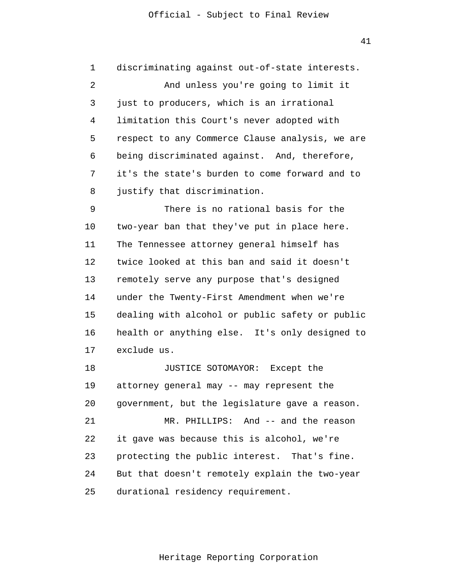1 2 3 4 **5**  $\overline{6}$  7 8 9 10 11 12 13 14 15 16 17 18 discriminating against out-of-state interests. And unless you're going to limit it just to producers, which is an irrational limitation this Court's never adopted with respect to any Commerce Clause analysis, we are being discriminated against. And, therefore, it's the state's burden to come forward and to justify that discrimination. There is no rational basis for the two-year ban that they've put in place here. The Tennessee attorney general himself has twice looked at this ban and said it doesn't remotely serve any purpose that's designed under the Twenty-First Amendment when we're dealing with alcohol or public safety or public health or anything else. It's only designed to exclude us. JUSTICE SOTOMAYOR: Except the

 19 20 21 22 23 24 25 attorney general may -- may represent the government, but the legislature gave a reason. MR. PHILLIPS: And -- and the reason it gave was because this is alcohol, we're protecting the public interest. That's fine. But that doesn't remotely explain the two-year durational residency requirement.

41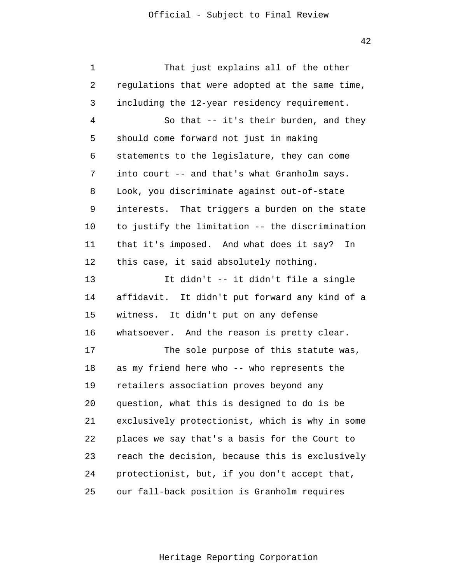| 1  | That just explains all of the other               |
|----|---------------------------------------------------|
| 2  | regulations that were adopted at the same time,   |
| 3  | including the 12-year residency requirement.      |
| 4  | So that -- it's their burden, and they            |
| 5  | should come forward not just in making            |
| 6  | statements to the legislature, they can come      |
| 7  | into court -- and that's what Granholm says.      |
| 8  | Look, you discriminate against out-of-state       |
| 9  | That triggers a burden on the state<br>interests. |
| 10 | to justify the limitation -- the discrimination   |
| 11 | that it's imposed. And what does it say?<br>In    |
| 12 | this case, it said absolutely nothing.            |
| 13 | It didn't -- it didn't file a single              |
| 14 | affidavit.<br>It didn't put forward any kind of a |
| 15 | witness. It didn't put on any defense             |
| 16 | whatsoever. And the reason is pretty clear.       |
| 17 | The sole purpose of this statute was,             |
| 18 | as my friend here who -- who represents the       |
| 19 | retailers association proves beyond any           |
| 20 | question, what this is designed to do is be       |
| 21 | exclusively protectionist, which is why in some   |
| 22 | places we say that's a basis for the Court to     |
| 23 | reach the decision, because this is exclusively   |
| 24 | protectionist, but, if you don't accept that,     |
| 25 | our fall-back position is Granholm requires       |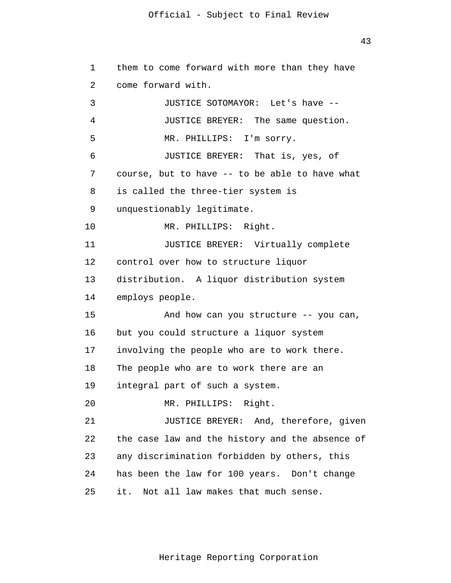43

```
 1 
 2 
 3 
 4 
5
\overline{6} 7 
 8 
 9 
            10 
            11 
            12 
            13 
            14 
            15 
            16 
            17 
            18 
            19 
            20 
            21 
            22 
            23 
            24 
            25 
                 them to come forward with more than they have 
                 come forward with. 
                          JUSTICE SOTOMAYOR: Let's have --
                          JUSTICE BREYER: The same question. 
                         MR. PHILLIPS: I'm sorry. 
                          JUSTICE BREYER: That is, yes, of 
                 course, but to have -- to be able to have what 
                 is called the three-tier system is 
                 unquestionably legitimate. 
                          MR. PHILLIPS: Right. 
                          JUSTICE BREYER: Virtually complete 
                 control over how to structure liquor 
                 distribution. A liquor distribution system 
                 employs people. 
                          And how can you structure -- you can, 
                 but you could structure a liquor system 
                 involving the people who are to work there. 
                 The people who are to work there are an 
                 integral part of such a system. 
                          MR. PHILLIPS: Right. 
                          JUSTICE BREYER: And, therefore, given 
                 the case law and the history and the absence of 
                 any discrimination forbidden by others, this 
                 has been the law for 100 years. Don't change 
                 it. Not all law makes that much sense.
```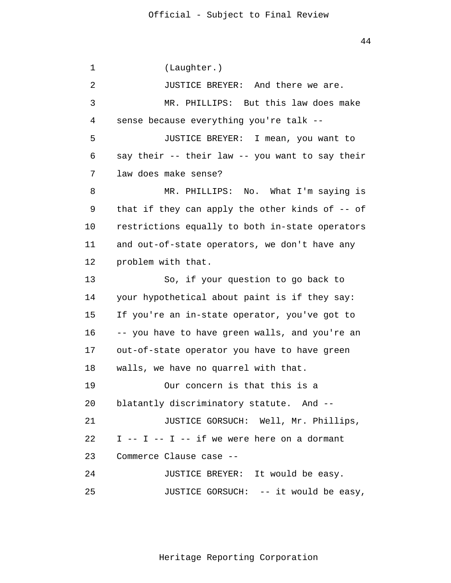1 2 3 4 **5**  $\overline{6}$  7 8 9 10 11 12 13 14 15 16 17 18 19 20 21 22 23 24 25 (Laughter.) JUSTICE BREYER: And there we are. MR. PHILLIPS: But this law does make sense because everything you're talk -- JUSTICE BREYER: I mean, you want to say their -- their law -- you want to say their law does make sense? MR. PHILLIPS: No. What I'm saying is that if they can apply the other kinds of -- of restrictions equally to both in-state operators and out-of-state operators, we don't have any problem with that. So, if your question to go back to your hypothetical about paint is if they say: If you're an in-state operator, you've got to -- you have to have green walls, and you're an out-of-state operator you have to have green walls, we have no quarrel with that. Our concern is that this is a blatantly discriminatory statute. And -- JUSTICE GORSUCH: Well, Mr. Phillips,  $I$  --  $I$  --  $I$  -- if we were here on a dormant Commerce Clause case -- JUSTICE BREYER: It would be easy. JUSTICE GORSUCH: -- it would be easy,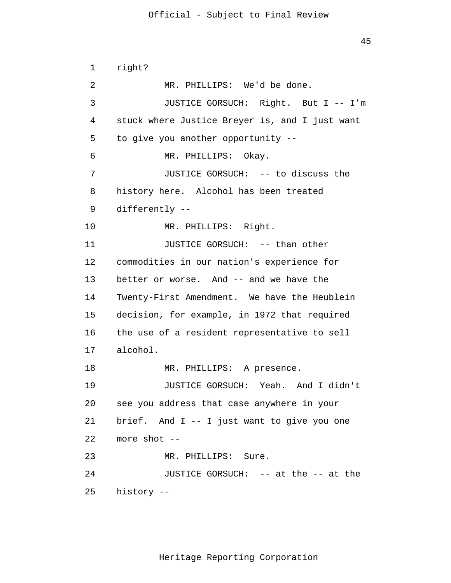```
 1 
 2 
 3 
 4 
5
\overline{6} 7 
 8 
 9 
            10 
            11 
            12 
            13 
            14 
            15 
            16 
            17 
            18 
            19 
            20 
            21 
            22 
            23 
            24 
            25 
                 right? 
                         MR. PHILLIPS: We'd be done. 
                         JUSTICE GORSUCH: Right. But I -- I'm 
                 stuck where Justice Breyer is, and I just want 
                 to give you another opportunity --
                         MR. PHILLIPS: Okay. 
                         JUSTICE GORSUCH: -- to discuss the 
                 history here. Alcohol has been treated 
                 differently --
                         MR. PHILLIPS: Right. 
                         JUSTICE GORSUCH: -- than other 
                 commodities in our nation's experience for 
                 better or worse. And -- and we have the 
                 Twenty-First Amendment. We have the Heublein 
                 decision, for example, in 1972 that required 
                 the use of a resident representative to sell 
                 alcohol. 
                         MR. PHILLIPS: A presence. 
                         JUSTICE GORSUCH: Yeah. And I didn't 
                 see you address that case anywhere in your 
                 brief. And I -- I just want to give you one 
                 more shot --
                         MR. PHILLIPS: Sure. 
                         JUSTICE GORSUCH: -- at the -- at the 
                 history --
```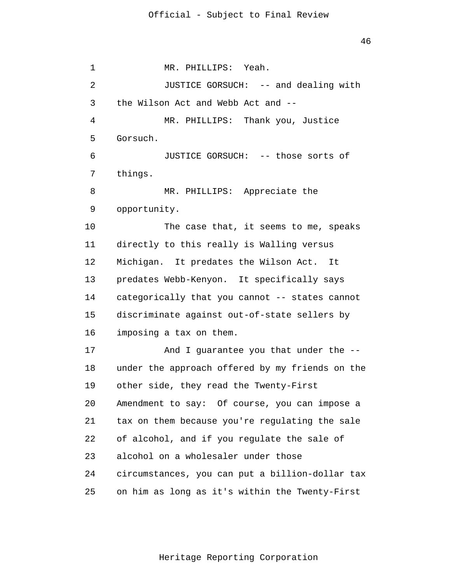1 2 3 4 **5**  $\overline{6}$  7 8 9 10 11 12 13 14 15 16 17 18 19 20 21 22 23 24 25 MR. PHILLIPS: Yeah. JUSTICE GORSUCH: -- and dealing with the Wilson Act and Webb Act and -- MR. PHILLIPS: Thank you, Justice Gorsuch. JUSTICE GORSUCH: -- those sorts of things. MR. PHILLIPS: Appreciate the opportunity. The case that, it seems to me, speaks directly to this really is Walling versus Michigan. It predates the Wilson Act. It predates Webb-Kenyon. It specifically says categorically that you cannot -- states cannot discriminate against out-of-state sellers by imposing a tax on them. And I guarantee you that under the - under the approach offered by my friends on the other side, they read the Twenty-First Amendment to say: Of course, you can impose a tax on them because you're regulating the sale of alcohol, and if you regulate the sale of alcohol on a wholesaler under those circumstances, you can put a billion-dollar tax on him as long as it's within the Twenty-First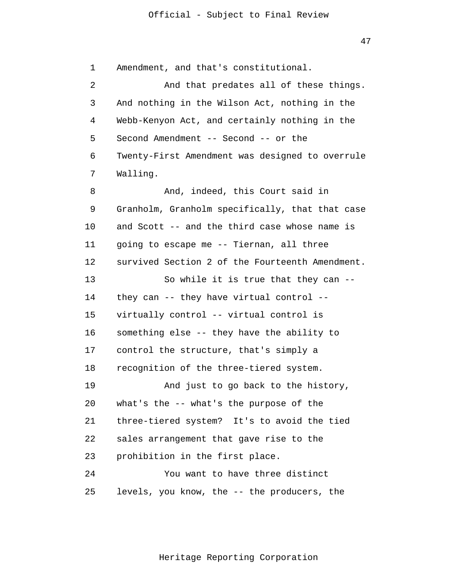1 2 3 4 **5**  $\overline{6}$  7 8 9 10 11 12 13 14 15 16 17 18 19 20 21 22 23 24 25 Amendment, and that's constitutional. And that predates all of these things. And nothing in the Wilson Act, nothing in the Webb-Kenyon Act, and certainly nothing in the Second Amendment -- Second -- or the Twenty-First Amendment was designed to overrule Walling. And, indeed, this Court said in Granholm, Granholm specifically, that that case and Scott -- and the third case whose name is going to escape me -- Tiernan, all three survived Section 2 of the Fourteenth Amendment. So while it is true that they can - they can -- they have virtual control - virtually control -- virtual control is something else -- they have the ability to control the structure, that's simply a recognition of the three-tiered system. And just to go back to the history, what's the -- what's the purpose of the three-tiered system? It's to avoid the tied sales arrangement that gave rise to the prohibition in the first place. You want to have three distinct levels, you know, the -- the producers, the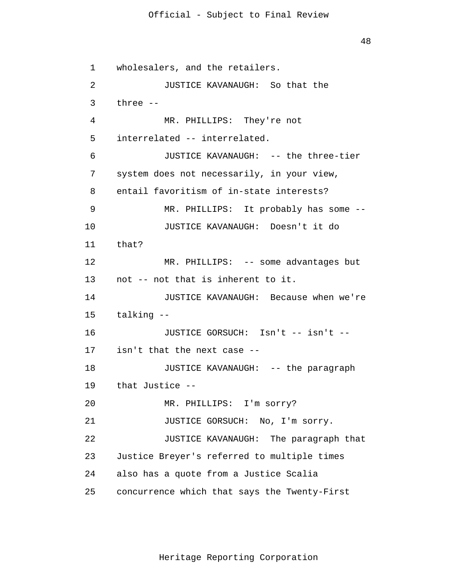48

 1 2 3 4 **5**  $\overline{6}$  7 8 9 10 11 12 13 14 15 16 17 18 19 20 21 22 23 24 25 wholesalers, and the retailers. JUSTICE KAVANAUGH: So that the three -- MR. PHILLIPS: They're not interrelated -- interrelated. JUSTICE KAVANAUGH: -- the three-tier system does not necessarily, in your view, entail favoritism of in-state interests? MR. PHILLIPS: It probably has some -- JUSTICE KAVANAUGH: Doesn't it do that? MR. PHILLIPS: -- some advantages but not -- not that is inherent to it. JUSTICE KAVANAUGH: Because when we're talking -- JUSTICE GORSUCH: Isn't -- isn't - isn't that the next case -- JUSTICE KAVANAUGH: -- the paragraph that Justice -- MR. PHILLIPS: I'm sorry? JUSTICE GORSUCH: No, I'm sorry. JUSTICE KAVANAUGH: The paragraph that Justice Breyer's referred to multiple times also has a quote from a Justice Scalia concurrence which that says the Twenty-First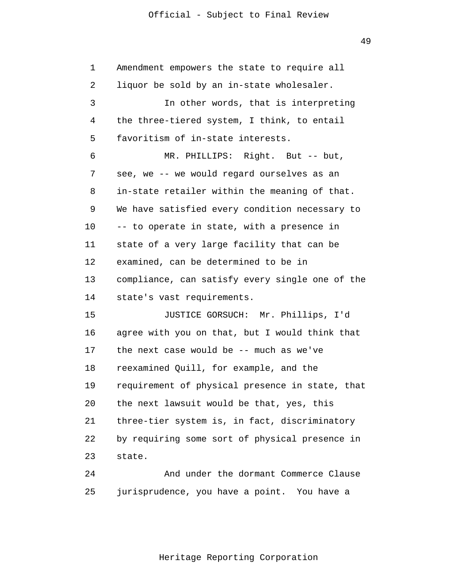| $\mathbf 1$ | Amendment empowers the state to require all     |
|-------------|-------------------------------------------------|
| 2           | liquor be sold by an in-state wholesaler.       |
| 3           | In other words, that is interpreting            |
| 4           | the three-tiered system, I think, to entail     |
| 5           | favoritism of in-state interests.               |
| 6           | MR. PHILLIPS: Right. But -- but,                |
| 7           | see, we -- we would regard ourselves as an      |
| 8           | in-state retailer within the meaning of that.   |
| 9           | We have satisfied every condition necessary to  |
| 10          | -- to operate in state, with a presence in      |
| 11          | state of a very large facility that can be      |
| 12          | examined, can be determined to be in            |
| 13          | compliance, can satisfy every single one of the |
| 14          | state's vast requirements.                      |
| 15          | JUSTICE GORSUCH: Mr. Phillips, I'd              |
| 16          | agree with you on that, but I would think that  |
| 17          | the next case would be -- much as we've         |
| 18          | reexamined Quill, for example, and the          |
| 19          | requirement of physical presence in state, that |
| 20          | the next lawsuit would be that, yes, this       |
| 21          | three-tier system is, in fact, discriminatory   |
| 22          | by requiring some sort of physical presence in  |
| 23          | state.                                          |
| 24          | And under the dormant Commerce Clause           |

 25 jurisprudence, you have a point. You have a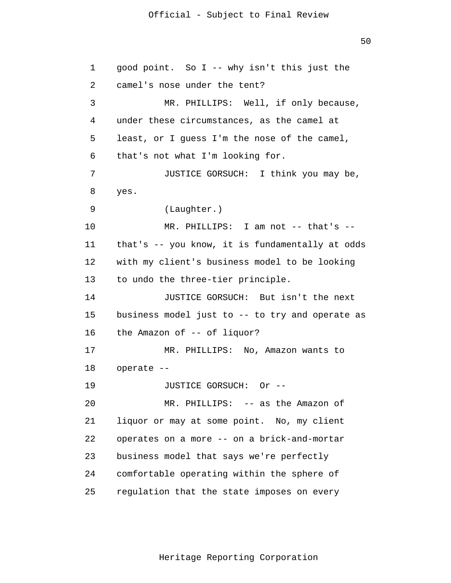50

 1 2 3 4 **5**  $\overline{6}$  7 8 9 10 11 12 13 14 15 16 17 18 19 20 21 22 23 24 25 good point. So I -- why isn't this just the camel's nose under the tent? MR. PHILLIPS: Well, if only because, under these circumstances, as the camel at least, or I guess I'm the nose of the camel, that's not what I'm looking for. JUSTICE GORSUCH: I think you may be, yes. (Laughter.) MR. PHILLIPS: I am not -- that's - that's -- you know, it is fundamentally at odds with my client's business model to be looking to undo the three-tier principle. JUSTICE GORSUCH: But isn't the next business model just to -- to try and operate as the Amazon of -- of liquor? MR. PHILLIPS: No, Amazon wants to operate -- JUSTICE GORSUCH: Or -- MR. PHILLIPS: -- as the Amazon of liquor or may at some point. No, my client operates on a more -- on a brick-and-mortar business model that says we're perfectly comfortable operating within the sphere of regulation that the state imposes on every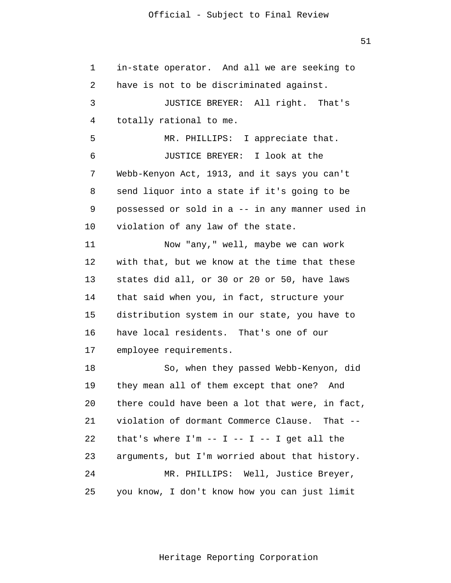1 2 3 4 **5**  $\overline{6}$  7 8 9 10 11 12 13 14 15 16 17 18 19 20 21 22 23 24 25 in-state operator. And all we are seeking to have is not to be discriminated against. JUSTICE BREYER: All right. That's totally rational to me. MR. PHILLIPS: I appreciate that. JUSTICE BREYER: I look at the Webb-Kenyon Act, 1913, and it says you can't send liquor into a state if it's going to be possessed or sold in a -- in any manner used in violation of any law of the state. Now "any," well, maybe we can work with that, but we know at the time that these states did all, or 30 or 20 or 50, have laws that said when you, in fact, structure your distribution system in our state, you have to have local residents. That's one of our employee requirements. So, when they passed Webb-Kenyon, did they mean all of them except that one? And there could have been a lot that were, in fact, violation of dormant Commerce Clause. That - that's where  $I'm -- I -- I -- I$  qet all the arguments, but I'm worried about that history. MR. PHILLIPS: Well, Justice Breyer, you know, I don't know how you can just limit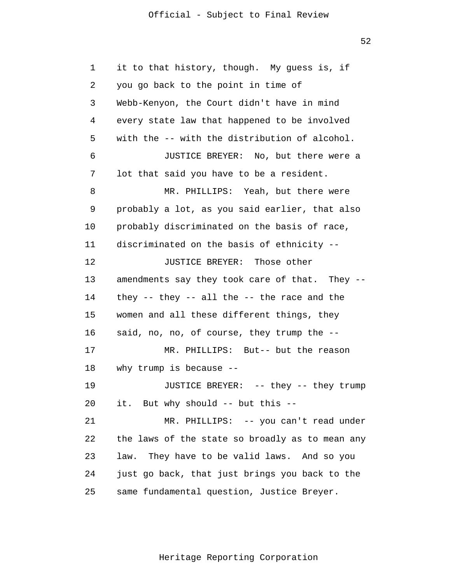52

 1 2 3 4 **5**  $\overline{6}$  7 8 9 10 11 12 13 14 15 16 17 18 19 20 21 22 23 24 25 it to that history, though. My guess is, if you go back to the point in time of Webb-Kenyon, the Court didn't have in mind every state law that happened to be involved with the -- with the distribution of alcohol. JUSTICE BREYER: No, but there were a lot that said you have to be a resident. MR. PHILLIPS: Yeah, but there were probably a lot, as you said earlier, that also probably discriminated on the basis of race, discriminated on the basis of ethnicity -- JUSTICE BREYER: Those other amendments say they took care of that. They - they -- they -- all the -- the race and the women and all these different things, they said, no, no, of course, they trump the -- MR. PHILLIPS: But-- but the reason why trump is because -- JUSTICE BREYER: -- they -- they trump it. But why should -- but this -- MR. PHILLIPS: -- you can't read under the laws of the state so broadly as to mean any law. They have to be valid laws. And so you just go back, that just brings you back to the same fundamental question, Justice Breyer.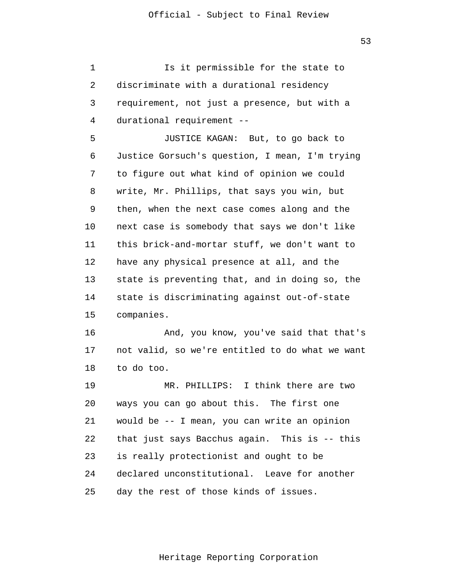1 2 3 4 Is it permissible for the state to discriminate with a durational residency requirement, not just a presence, but with a durational requirement --

**5**  $\overline{6}$  7 8 9 10 11 12 13 14 15 JUSTICE KAGAN: But, to go back to Justice Gorsuch's question, I mean, I'm trying to figure out what kind of opinion we could write, Mr. Phillips, that says you win, but then, when the next case comes along and the next case is somebody that says we don't like this brick-and-mortar stuff, we don't want to have any physical presence at all, and the state is preventing that, and in doing so, the state is discriminating against out-of-state companies.

> 16 17 18 And, you know, you've said that that's not valid, so we're entitled to do what we want to do too.

 19 20 21 22 23 24 25 MR. PHILLIPS: I think there are two ways you can go about this. The first one would be -- I mean, you can write an opinion that just says Bacchus again. This is -- this is really protectionist and ought to be declared unconstitutional. Leave for another day the rest of those kinds of issues.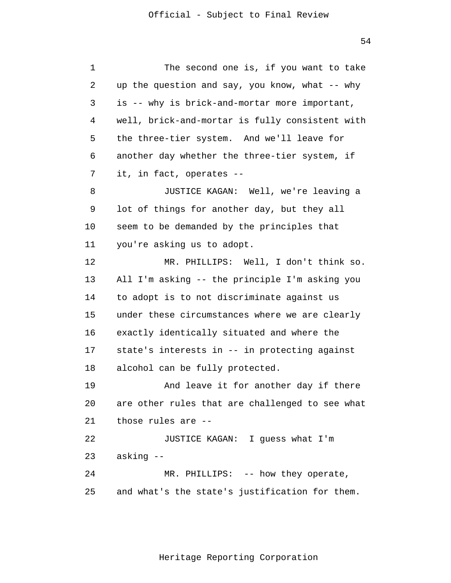1 2 3 4 **5**  $\overline{6}$  7 8 9 10 11 12 13 14 15 16 17 18 19 20 21 The second one is, if you want to take up the question and say, you know, what  $-$ - why is -- why is brick-and-mortar more important, well, brick-and-mortar is fully consistent with the three-tier system. And we'll leave for another day whether the three-tier system, if it, in fact, operates -- JUSTICE KAGAN: Well, we're leaving a lot of things for another day, but they all seem to be demanded by the principles that you're asking us to adopt. MR. PHILLIPS: Well, I don't think so. All I'm asking -- the principle I'm asking you to adopt is to not discriminate against us under these circumstances where we are clearly exactly identically situated and where the state's interests in -- in protecting against alcohol can be fully protected. And leave it for another day if there are other rules that are challenged to see what those rules are --

> 22 23 24 JUSTICE KAGAN: I guess what I'm asking -- MR. PHILLIPS: -- how they operate,

> 25 and what's the state's justification for them.

> > Heritage Reporting Corporation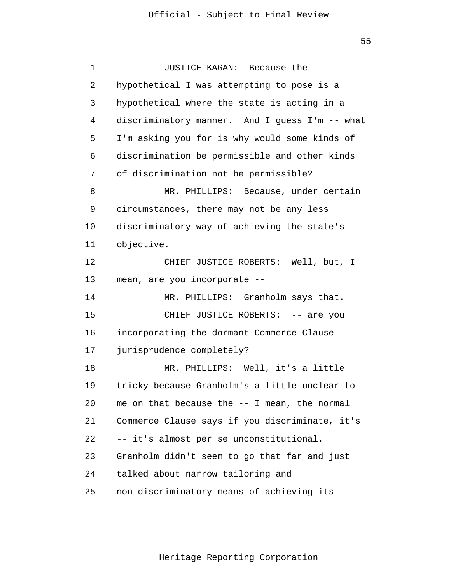| 1  | JUSTICE KAGAN: Because the                     |
|----|------------------------------------------------|
| 2  | hypothetical I was attempting to pose is a     |
| 3  | hypothetical where the state is acting in a    |
| 4  | discriminatory manner. And I guess I'm -- what |
| 5  | I'm asking you for is why would some kinds of  |
| 6  | discrimination be permissible and other kinds  |
| 7  | of discrimination not be permissible?          |
| 8  | MR. PHILLIPS: Because, under certain           |
| 9  | circumstances, there may not be any less       |
| 10 | discriminatory way of achieving the state's    |
| 11 | objective.                                     |
| 12 | CHIEF JUSTICE ROBERTS: Well, but, I            |
| 13 | mean, are you incorporate --                   |
| 14 | MR. PHILLIPS: Granholm says that.              |
| 15 | CHIEF JUSTICE ROBERTS: -- are you              |
| 16 | incorporating the dormant Commerce Clause      |
| 17 | jurisprudence completely?                      |
| 18 | MR. PHILLIPS: Well, it's a little              |
| 19 | tricky because Granholm's a little unclear to  |
| 20 | me on that because the -- I mean, the normal   |
| 21 | Commerce Clause says if you discriminate, it's |
| 22 | -- it's almost per se unconstitutional.        |
| 23 | Granholm didn't seem to go that far and just   |
| 24 | talked about narrow tailoring and              |
| 25 | non-discriminatory means of achieving its      |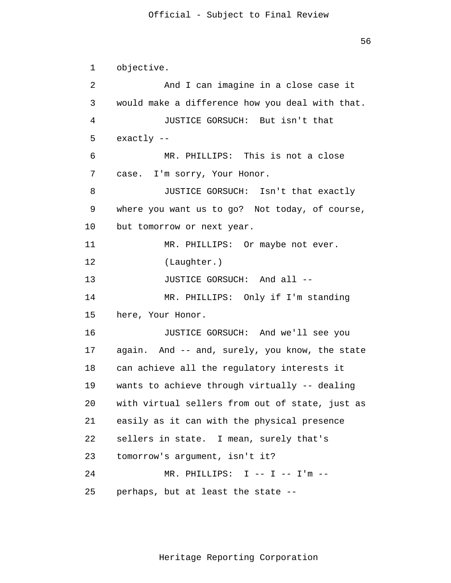1 2 3 4 **5**  $\overline{6}$  7 8 9 10 11 12 13 14 15 16 17 18 19 20 21 22 23 24 25 objective. And I can imagine in a close case it would make a difference how you deal with that. JUSTICE GORSUCH: But isn't that exactly -- MR. PHILLIPS: This is not a close case. I'm sorry, Your Honor. JUSTICE GORSUCH: Isn't that exactly where you want us to go? Not today, of course, but tomorrow or next year. MR. PHILLIPS: Or maybe not ever. (Laughter.) JUSTICE GORSUCH: And all -- MR. PHILLIPS: Only if I'm standing here, Your Honor. JUSTICE GORSUCH: And we'll see you again. And -- and, surely, you know, the state can achieve all the regulatory interests it wants to achieve through virtually -- dealing with virtual sellers from out of state, just as easily as it can with the physical presence sellers in state. I mean, surely that's tomorrow's argument, isn't it? MR. PHILLIPS: I -- I -- I'm - perhaps, but at least the state --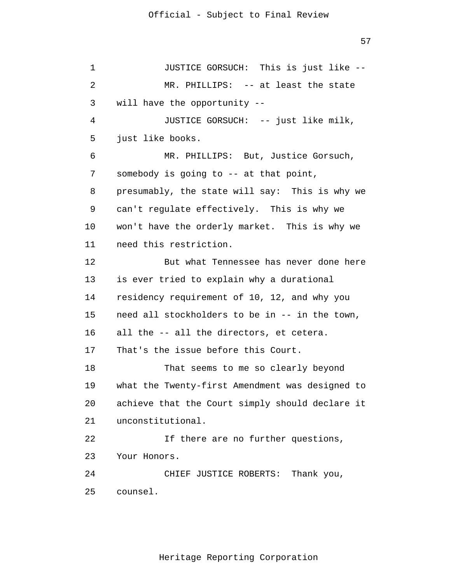1 2 3 4 **5**  $\overline{6}$  7 8 9 10 11 12 13 14 15 16 17 18 19 20 21 22 23 24 25 JUSTICE GORSUCH: This is just like -- MR. PHILLIPS: -- at least the state will have the opportunity -- JUSTICE GORSUCH: -- just like milk, just like books. MR. PHILLIPS: But, Justice Gorsuch, somebody is going to -- at that point, presumably, the state will say: This is why we can't regulate effectively. This is why we won't have the orderly market. This is why we need this restriction. But what Tennessee has never done here is ever tried to explain why a durational residency requirement of 10, 12, and why you need all stockholders to be in -- in the town, all the -- all the directors, et cetera. That's the issue before this Court. That seems to me so clearly beyond what the Twenty-first Amendment was designed to achieve that the Court simply should declare it unconstitutional. If there are no further questions, Your Honors. CHIEF JUSTICE ROBERTS: Thank you, counsel.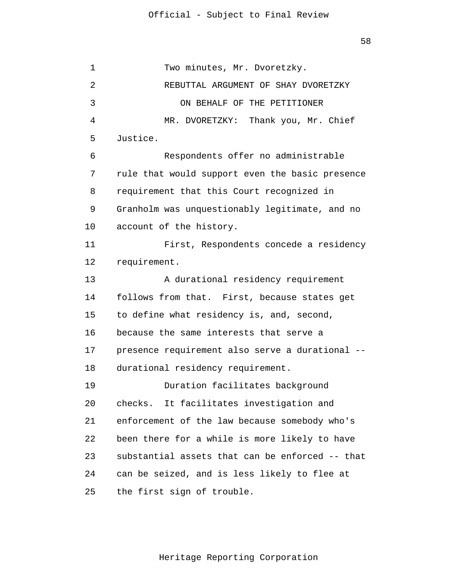1 2 3 4 **5**  $\overline{6}$  7 8 9 10 11 12 13 14 15 16 17 18 19 20 21 22 23 24 25 Two minutes, Mr. Dvoretzky. REBUTTAL ARGUMENT OF SHAY DVORETZKY ON BEHALF OF THE PETITIONER MR. DVORETZKY: Thank you, Mr. Chief Justice. Respondents offer no administrable rule that would support even the basic presence requirement that this Court recognized in Granholm was unquestionably legitimate, and no account of the history. First, Respondents concede a residency requirement. A durational residency requirement follows from that. First, because states get to define what residency is, and, second, because the same interests that serve a presence requirement also serve a durational - durational residency requirement. Duration facilitates background checks. It facilitates investigation and enforcement of the law because somebody who's been there for a while is more likely to have substantial assets that can be enforced -- that can be seized, and is less likely to flee at the first sign of trouble.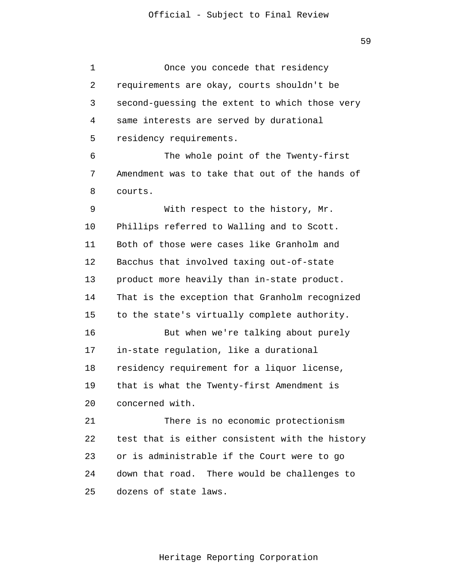2

3

4

**5** 

 $\overline{6}$ 

7

8

9

10

11

12

13

14

15

16

17

18

19

20

Once you concede that residency requirements are okay, courts shouldn't be second-guessing the extent to which those very same interests are served by durational residency requirements. The whole point of the Twenty-first Amendment was to take that out of the hands of courts. With respect to the history, Mr. Phillips referred to Walling and to Scott. Both of those were cases like Granholm and Bacchus that involved taxing out-of-state product more heavily than in-state product. That is the exception that Granholm recognized to the state's virtually complete authority. But when we're talking about purely in-state regulation, like a durational residency requirement for a liquor license, that is what the Twenty-first Amendment is concerned with.

 21 22 23 24 25 There is no economic protectionism test that is either consistent with the history or is administrable if the Court were to go down that road. There would be challenges to dozens of state laws.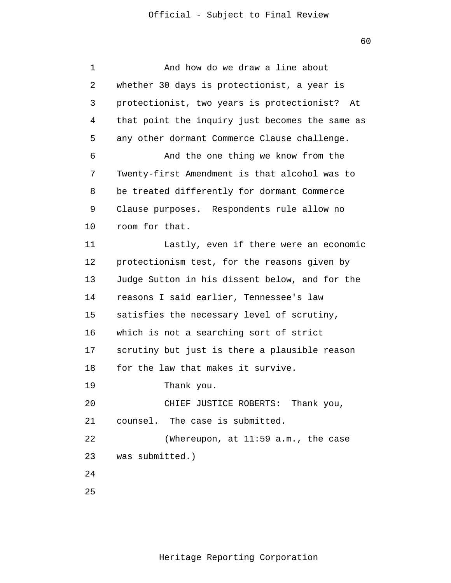```
 1 
 2 
 3 
 4 
5
\overline{6} 7 
 8 
 9 
            10 
            11 
            12 
            13 
            14 
            15 
            16 
            17 
            18 
            19 
            20 
            21 
            22 
            23 
            24
            25
                          And how do we draw a line about 
                 whether 30 days is protectionist, a year is 
                 protectionist, two years is protectionist? At 
                 that point the inquiry just becomes the same as 
                 any other dormant Commerce Clause challenge. 
                          And the one thing we know from the 
                 Twenty-first Amendment is that alcohol was to 
                 be treated differently for dormant Commerce 
                 Clause purposes. Respondents rule allow no 
                 room for that. 
                          Lastly, even if there were an economic 
                 protectionism test, for the reasons given by 
                 Judge Sutton in his dissent below, and for the 
                 reasons I said earlier, Tennessee's law 
                 satisfies the necessary level of scrutiny, 
                 which is not a searching sort of strict 
                 scrutiny but just is there a plausible reason 
                 for the law that makes it survive. 
                          Thank you. 
                          CHIEF JUSTICE ROBERTS: Thank you, 
                 counsel. The case is submitted. 
                          (Whereupon, at 11:59 a.m., the case 
                 was submitted.)
```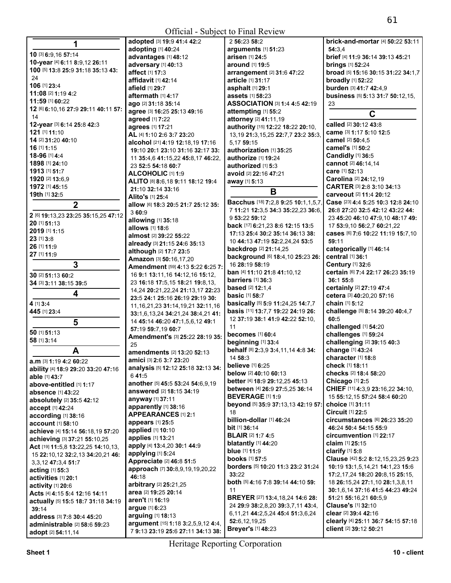| 1                                           | adopted [3] 19:9 41:4 42:2                          | 2 56:23 58:2                                                     | <b>brick-and-mortar</b> [4] <b>50:22 53:11</b>      |
|---------------------------------------------|-----------------------------------------------------|------------------------------------------------------------------|-----------------------------------------------------|
|                                             | adopting [1] 40:24                                  | arguments [1] 51:23                                              | 54:3.4                                              |
| 10 [3] 6:9,16 57:14                         | advantages [1] 48:12                                | arisen [1] 24:5                                                  | brief [4] 11:9 36:14 39:13 45:21                    |
| 10-year [4] 6:11 8:9,12 26:11               | adversary [1] 40:13                                 | around [1] 19:5                                                  | <b>brings</b> [1] 52:24                             |
| 100 [5] 13:8 25:9 31:18 35:13 43:           | affect [1] 17:3                                     | arrangement [2] 31:6 47:22                                       | broad [5] 15:16 30:15 31:22 34:1,7                  |
| 24                                          | affidavit [1] 42:14                                 | article [1] 31:17                                                | <b>broadly</b> [1] 52:22                            |
| 106 [1] 23:4                                | afield [1] 29:7                                     | asphalt [1] 29:1                                                 | burden [3] 41:7 42:4,9                              |
| 11:08 [2] 1:19 4:2                          | aftermath $[1]$ 4:17                                | assets [1] 58:23                                                 | business [5] 5:13 31:7 50:12,15,                    |
| 11:59 [1] 60:22                             | ago [2] 31:18 35:14                                 | ASSOCIATION [3] 1:4 4:5 42:19                                    | 23                                                  |
| 12 [6] 6:10,16 27:9 29:11 40:11 57:         | agree [3] 16:25 25:13 49:16                         | attempting [1] 55:2                                              | C                                                   |
| 14                                          | agreed [1] 7:22                                     | attorney [2] 41:11,19                                            |                                                     |
| 12-year [3] 6:14 25:8 42:3<br>121 [1] 11:10 | agrees [1] 17:21                                    | authority [15] 12:22 18:22 20:10,                                | called [2] 30:12 43:8                               |
| 14 [2] 31:20 40:10                          | AL [4] 1:10 2:6 3:7 23:20                           | 13, 19 21: 3, 15, 25 22: 7, 7 23: 2 35: 3,                       | came [3] 1:17 5:10 12:5<br>camel [2] 50:4,5         |
| 16 [1] 1:15                                 | alcohol [21] 4:19 12:18,19 17:16                    | 5,17 59:15                                                       | camel's [1] 50:2                                    |
| 18-96 [1] 4:4                               | 19:10 20:1 23:10 31:16 32:17 33:                    | authorization [1] 35:25                                          | Candidly [1] 36:5                                   |
| 1898 [1] 24:10                              | 11 35:4,6 41:15,22 45:8,17 46:22,                   | <b>authorize</b> [1] <b>19:24</b>                                | cannot [2] 46:14,14                                 |
| 1913 [1] 51:7                               | 23 52:5 54:18 60:7                                  | authorized [1] 5:3                                               | care [1] 52:13                                      |
| 1920 [2] 13:6,9                             | ALCOHOLIC [1] 1:9                                   | avoid [2] 22:16 47:21                                            | Carolina [2] 24:12,19                               |
| 1972 [1] 45:15                              | ALITO [8] 8:6,18 9:11 18:12 19:4                    | away [1] 5:13                                                    | CARTER [3] 2:8 3:10 34:13                           |
| 19th [1] 32:5                               | 21:10 32:14 33:16                                   | B                                                                | carveout [2] 11:4 20:12                             |
|                                             | Alito's [1] 25:4                                    | Bacchus [18] 7:2,8 9:25 10:1,1,5,7,                              | Case [23] 4:4 5:25 10:3 12:8 24:10                  |
| $\overline{2}$                              | allow [6] 18:3 20:5 21:7 25:12 35:<br>360:9         | 7 11:21 12:3,5 34:3 35:22,23 36:6,                               | 26:8 27:20 32:5 42:12 43:22 44:                     |
| 2 [6] 19:13,23 23:25 35:15,25 47:12         |                                                     | 9 53:22 59:12                                                    | 23 45:20 46:10 47:9.10 48:17 49:                    |
| 20 [1] 51:13                                | allowing [1] 35:18<br><b>allows</b> [1] <b>18:6</b> | back [17] 6:21,23 8:6 12:15 13:5                                 | 17 53:9,10 56:2,7 60:21,22                          |
| 2019 [1] 1:15                               | almost [2] 39:22 55:22                              | 17:13 25:4 30:2 35:14 36:13 38:                                  | Cases [6] 7:6 10:22 11:19 15:7,10                   |
| 23 [1] 3:8                                  | already [3] 21:15 24:6 35:13                        | 10 44:13 47:19 52:2,24,24 53:5                                   | 59:11                                               |
| 26 [1] 11:9                                 | although [2] 17:7 23:5                              | <b>backdrop</b> [2] 21:14,25                                     | categorically [1] 46:14                             |
| 27 [1] 11:9                                 | Amazon [3] 50:16,17,20                              | background [6] 18:4,10 25:23 26:                                 | central [1] 36:1                                    |
| 3                                           | Amendment [59] 4:13 5:22 6:25 7:                    | 16 28:19 58:19                                                   | <b>Century</b> [1] 32:6                             |
| 30 [2] 51:13 60:2                           | 16 9:1 13:11, 16 14:12, 16 15:12,                   | ban [4] 11:10 21:8 41:10,12                                      | certain [6] 7:4 22:17 26:23 35:19                   |
| 34 [3] 3:11 38:15 39:5                      | 23 16:18 17:5,15 18:21 19:8,13,                     | barriers [1] 36:3                                                | 36:1 55:8                                           |
|                                             | 14,24 20:21,22,24 21:13,17 22:23                    | <b>based</b> [2] 12:1.4                                          | certainly [2] 27:19 47:4                            |
| 4                                           | 23:5 24:1 25:16 26:19 29:19 30:                     | <b>basic</b> [1] 58:7                                            | cetera [3] 40:20,20 57:16                           |
| 4 [1] 3:4                                   | 11, 16, 21, 23 31: 14, 19, 21 32: 11, 16            | basically [5] 5:9 11:24,25 14:7,7                                | chain [1] 5:12                                      |
| 445 [1] 23:4                                | 33:1,6,13,24 34:21,24 38:4,21 41:                   | basis [11] 13:7,7 19:22 24:19 26:                                | challenge [5] 8:14 39:20 40:4,7                     |
| 5                                           | 14 45:14 46:20 47:1,5,6,12 49:1                     | 12 37:19 38:1 41:9 42:22 52:10,                                  | 60:5                                                |
| 50 [1] 51:13                                | 57:19 59:7,19 60:7                                  | 11                                                               | challenged [1] 54:20                                |
| 58 [1] 3:14                                 | Amendment's [3] 25:22 28:19 35:                     | <b>becomes</b> [1] 60:4                                          | challenges [1] 59:24                                |
|                                             | 25                                                  | beginning [1] 33:4                                               | challenging [2] 39:15 40:3                          |
| A                                           | amendments [2] 13:20 52:13                          | behalf [8] 2:3,9 3:4,11,14 4:8 34:                               | change [1] 43:24                                    |
| <b>a.m</b> [3] <b>1:19 4:2 60:22</b>        | amici [3] 2:6 3:7 23:20                             | 14 58:3                                                          | character [1] 18:8                                  |
| ability [4] 18:9 29:20 33:20 47:16          | analysis [5] 12:12 25:18 32:13 34:                  | <b>believe</b> [1] 6:25                                          | <b>check</b> [1] 18:11                              |
| <b>able</b> [1] <b>43:7</b>                 | 641:5                                               | below [2] 40:10 60:13                                            | checks [2] 18:4 58:20                               |
| above-entitled [1] 1:17                     | another [5] 45:5 53:24 54:6,9,19                    | better [4] 18:9 29:12,25 45:13<br>between [4] 26:9 27:5,25 36:14 | Chicago [1] 2:5<br>CHIEF [11] 4:3,9 23:16,22 34:10, |
| <b>absence</b> [1] 43:22                    | answered [2] 18:15 34:19                            | <b>BEVERAGE</b> [1] 1:9                                          | 15 55:12,15 57:24 58:4 60:20                        |
| absolutely [2] 35:5 42:12                   | anyway [1] 37:11                                    | beyond [5] 35:9 37:13.13 42:19 57:                               | choice [1] 31:11                                    |
| accept [1] 42:24                            | apparently [1] 38:16                                | 18                                                               | <b>Circuit [1] 22:5</b>                             |
| according [1] 38:16                         | <b>APPEARANCES [1] 2:1</b>                          | billion-dollar [1] 46:24                                         | circumstances [6] 26:23 35:20                       |
| account [1] 58:10                           | appears [1] 25:5                                    | <b>bit</b> $[1]$ 36:14                                           | 46:24 50:4 54:15 55:9                               |
| achieve [4] 15:14 56:18,19 57:20            | applied [1] 10:10                                   | <b>BLAIR [2] 1:7 4:5</b>                                         | <b>circumvention</b> [1] 22:17                      |
| achieving [3] 37:21 55:10,25                | applies [1] 13:21                                   | <b>blatantly</b> [1] 44:20                                       | <b>claim</b> [1] 25:15                              |
| Act [19] 11:5,8 13:22,25 14:10,13,          | apply [4] 13:4,20 30:1 44:9                         | blue [1] 11:9                                                    | clarify $[1]$ 5:8                                   |
| 15 22:10,12 32:2,13 34:20,21 46:            | applying [1] 5:24<br>Appreciate [2] 46:8 51:5       | <b>books</b> [1] 57:5                                            | Clause [42] 5:2 8:12,15,23,25 9:23                  |
| 3, 3, 12 47: 3, 4 51: 7                     |                                                     | borders [5] 10:20 11:3 23:2 31:24                                | 10:19 13:1,5,14,21 14:1,23 15:6                     |
| acting [1] 55:3                             | approach [7] 30:8,9,19,19,20,22<br>46:18            | 33:22                                                            | 17:2,17,24 18:20 20:8,15 25:15,                     |
| activities [1] 20:1                         | arbitrary [2] 25:21,25                              | <b>both</b> [5] <b>4:16 7:8 39:14 44:10 59:</b>                  | 18 26:15,24 27:1,10 28:1,3,8,11                     |
| activity [1] 20:6                           | area [2] 19:25 20:14                                | 11                                                               | 30:1,6,14 37:16 41:5 44:23 49:24                    |
| Acts [4] 4:15 5:4 12:16 14:11               | aren't [1] 16:19                                    | <b>BREYER</b> [27] <b>13:</b> 4,18,24 <b>14:</b> 6 <b>28:</b>    | 51:21 55:16,21 60:5,9                               |
| actually [5] 15:5 18:7 31:18 34:19<br>39:14 | argue [1] 6:23                                      | 24 29:9 38:2,8,20 39:3,7,11 43:4,                                | Clause's [1] 32:10                                  |
| address [3] 7:8 30:4 45:20                  | arguing [1] 18:13                                   | 6,11,21 44:2,5,24 45:4 51:3,6,24                                 | clear [2] 39:4 42:16                                |
| administrable [2] 58:6 59:23                | argument [15] 1:18 3:2,5,9,12 4:4,                  | 52:6,12,19,25                                                    | clearly [4] 25:11 36:7 54:15 57:18                  |
| adopt [2] 54:11,14                          | 7 9:13 23:19 25:6 27:11 34:13 38:                   | <b>Breyer's [1] 48:23</b>                                        | client [2] 39:12 50:21                              |
|                                             |                                                     |                                                                  |                                                     |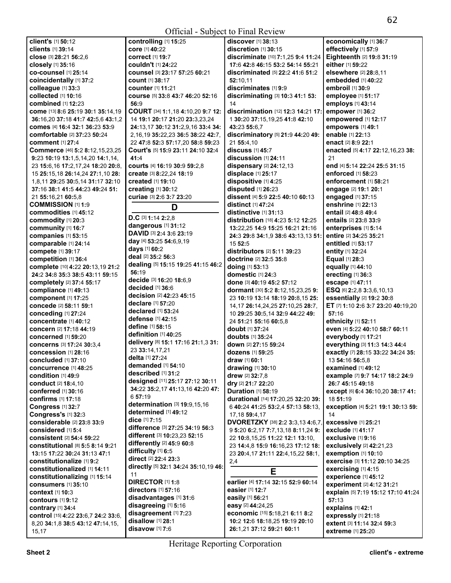| client's [1] 50:12                     | controlling [1] 15:25                    | discover [1] 38:13                             | economically [1] 36:7              |
|----------------------------------------|------------------------------------------|------------------------------------------------|------------------------------------|
| clients [1] 39:14                      | core [1] 40:22                           | discretion [1] 30:15                           | effectively [1] 57:9               |
| close [3] 28:21 56:2,6                 | <b>correct</b> [1] 19:7                  | discriminate [10] 7:1,25 9:4 11:24             | Eighteenth [2] 19:8 31:19          |
| closely [1] 35:16                      | couldn't [1] 24:22                       | 17:6 42:8 46:15 53:2 54:14 55:21               | either [1] 59:22                   |
| <b>co-counsel</b> [1] 25:14            | counsel [3] 23:17 57:25 60:21            | <b>discriminated</b> [5] <b>22:2 41:6 51:2</b> | elsewhere [2] 28:8.11              |
| coincidentally [1] 37:2                | <b>count</b> [1] 38:17                   | 52:10.11                                       | embedded [1] 40:22                 |
| colleague [1] 33:3                     | <b>counter</b> [1] 11:21                 | discriminates [1] 9:9                          | embroil [1] 30:9                   |
| collected [1] 10:16                    | course [5] 33:8 43:7 46:20 52:16         | discriminating [3] 10:3 41:1 53:               | employee [1] 51:17                 |
| combined [1] 12:23                     | 56:9                                     | 14                                             | employs [1] 43:14                  |
| come [13] 8:6 25:19 30:1 35:14,19      | COURT [34] 1:1,18 4:10,20 9:7 12:        | discrimination [12] 12:3 14:21 17:             |                                    |
|                                        |                                          |                                                | empower [1] 36:2                   |
| 36:16,20 37:18 41:7 42:5,6 43:1,2      | 14 19:1 20:17 21:20 23:3,23,24           | 1 30:20 37:15,19,25 41:8 42:10                 | empowered [1] 12:17                |
| comes [4] 16:4 32:1 36:23 53:9         | 24:13,17 30:12 31:2,9,16 33:4 34:        | 43:23 55:6.7                                   | empowers [1] 49:1                  |
| comfortable [2] 37:23 50:24            | 2, 16, 19 35: 22, 23 36: 5 38: 22 42: 7, | discriminatory [5] 21:9 44:20 49:              | enable [1] 22:13                   |
| <b>comment</b> [1] 27:4                | 22 47:8 52:3 57:17,20 58:8 59:23         | 21 55:4,10                                     | <b>enact</b> [2] 8:9 22:1          |
| Commerce [46] 5:2 8:12,15,23,25        | Court's [5] 15:9 23:11 24:10 32:4        | discuss [1] 45:7                               | enacted [5] 4:17 22:12,16,23 38:   |
| 9:23 10:19 13:1,5,14,20 14:1,14,       | 41:4                                     | discussion [1] 24:11                           | 21                                 |
| 23 15:6, 16 17:2, 17, 24 18: 20 20: 8, | courts [4] 16:19 30:9 59:2,8             | dispensary [2] 24:12,13                        | end [4] 5:14 22:24 25:5 31:15      |
| 15 25:15,18 26:14,24 27:1,10 28:       | create [3] 8:22,24 18:19                 | displace [1] 25:17                             | enforced [1] 58:23                 |
| 1,8,11 29:25 30:5,14 31:17 32:10       | <b>created</b> [1] <b>19:10</b>          | dispositive [1] 4:25                           | enforcement [1] 58:21              |
| 37:16 38:1 41:5 44:23 49:24 51:        | creating [1] 30:12                       | disputed [1] 26:23                             | engage [2] 19:1 20:1               |
| 21 55:16,21 60:5,8                     | curiae [3] 2:6 3:7 23:20                 | dissent [4] 5:9 22:5 40:10 60:13               | engaged [1] 37:15                  |
|                                        |                                          |                                                |                                    |
| <b>COMMISSION [1] 1:9</b>              | D                                        | <b>distinct</b> [1] 47:24                      | enshrine [1] 22:13                 |
| <b>commodities</b> [1] 45:12           | D.C [3] $1:14$ 2:2,8                     | distinctive [1] 31:13                          | entail [2] 48:8 49:4               |
| commodity [1] 20:3                     |                                          | distribution [18] 4:23 5:12 12:25              | entails [2] 23:8 33:9              |
| community [1] 16:7                     | dangerous [1] 31:12                      | 13:22,25 14:9 15:25 16:21 21:16                | enterprises [1] 5:14               |
| companies [1] 53:15                    | DAVID [3] 2:4 3:6 23:19                  | 24:3 29:8 34:1,9 38:6 43:13,13 51:             | entire [2] 34:25 35:21             |
| comparable [1] 24:14                   | day [4] 53:25 54:6,9,19                  | 15 52:5                                        | entitled [1] 53:17                 |
| compete [1] 39:17                      | days [1] 60:2                            | distributors [2] 5:11 39:23                    | entity [1] 32:24                   |
| competition [1] 36:4                   | deal [2] 35:2 56:3                       | doctrine [2] 32:5 35:8                         | <b>Equal [1] 28:3</b>              |
| complete [10] 4:22 20:13,19 21:2       | dealing [5] 15:15 19:25 41:15 46:2       | doing [1] 53:13                                | equally [1] 44:10                  |
| 24:2 34:8 35:3 38:5 43:11 59:15        | 56:19                                    | domestic [1] 24:3                              | erecting [1] 36:3                  |
| completely [2] 37:4 55:17              | decide [3] 16:20 18:6,9                  | done [3] 40:19 45:2 57:12                      | escape [1] 47:11                   |
|                                        | decided [1] 36:6                         |                                                |                                    |
| compliance [1] 49:13                   | decision [2] 42:23 45:15                 | dormant [30] 5:2 8:12,15,23,25 9:              | ESQ [6] 2:2,8 3:3,6,10,13          |
| component [1] 17:25                    | declare [1] 57:20                        | 23 10:19 13:14 18:19 20:8,15 25:               | essentially [2] 19:2 30:8          |
| concede [2] 58:11 59:1                 | declared [1] 53:24                       | 14, 17 26: 14, 24, 25 27: 10, 25 28: 7,        | ET [7] 1:10 2:6 3:7 23:20 40:19,20 |
| conceding [1] 27:24                    |                                          | 10 29:25 30:5,14 32:9 44:22 49:                | 57:16                              |
| concentrate [1] 40:12                  | defense [1] 42:15                        | 24 51:21 55:16 60:5,8                          | ethnicity [1] 52:11                |
| concern [2] 17:18 44:19                | define [1] 58:15                         | <b>doubt</b> [1] <b>37:24</b>                  | even [4] 5:22 40:10 58:7 60:11     |
| <b>concerned</b> [1] 59:20             | definition $[1]$ 40:25                   | <b>doubts</b> $[1]$ 35:24                      | everybody [1] 17:21                |
| concerns [3] 17:24 30:3,4              | delivery [8] 15:1 17:16 21:1,3 31:       | down [2] 27:15 59:24                           | everything [3] 11:3 14:3 44:4      |
| concession [1] 28:16                   | 23 33:14,17,21                           | <b>dozens</b> [1] 59:25                        | exactly [7] 28:15 33:22 34:24 35:  |
| <b>concluded</b> [1] 37:10             | delta [1] 27:24                          | <b>draw</b> [1] <b>60:1</b>                    | 13 54:16 56:5.8                    |
| concurrence [1] 48:25                  | demanded [1] 54:10                       | drawing [1] 30:10                              | examined [1] 49:12                 |
| condition [1] 49:9                     | described [1] 31:2                       | drew [2] 32:7,8                                | example [7] 9:7 14:17 18:2 24:9    |
| <b>conduct</b> [2] 18:4,10             | designed [11] 25:17 27:12 30:11          | dry [2] 21:7 22:20                             | 26:7 45:15 49:18                   |
|                                        | 34:22 35:2,17 41:13,16 42:20 47:         |                                                |                                    |
| conferred [1] 30:16                    | 657:19                                   | <b>Duration [1] 58:19</b>                      | except [6] 6:4 36:10,20 38:17 41:  |
| confirms [1] 17:18                     | determination [3] 19:9,15,16             | durational [14] 17:20,25 32:20 39:             | 18 51:19                           |
| Congress [1] 32:7                      | determined [1] 49:12                     | 6 40:24 41:25 53:2,4 57:13 58:13,              | exception [4] 5:21 19:1 30:13 59:  |
| Congress's [1] 32:3                    | dice [1] 7:15                            | 17, 18 59: 4, 17                               | 14                                 |
| considerable [2] 23:8 33:9             |                                          | DVORETZKY [38] 2:2 3:3,13 4:6,7,               | <b>excessive</b> [1] 25:21         |
| considered [1] 5:4                     | difference [3] 27:25 34:19 56:3          | 9 5:20 6:2,17 7:7,13,18 8:11,24 9:             | exclude [1] 41:17                  |
| consistent [2] 54:4 59:22              | different [3] 10:23,23 52:15             | 22 10:8,15,25 11:22 12:1 13:10,                | exclusive [1] 9:16                 |
| constitutional [8] 5:5 8:14 9:21       | differently [2] 45:9 60:8                | 23 14:4,8 15:9 16:16,23 17:12 18:              | exclusively [2] 42:21,23           |
| 13:15 17:22 30:24 31:13 47:1           | difficulty [1] 6:5                       | 23 20:4,17 21:11 22:4,15,22 58:1,              | exemption [1] 10:10                |
| constitutionalize [1] 9:2              | direct [2] 22:4 23:3                     | 2,4                                            | exercise [3] 11:12 20:10 34:25     |
| constitutionalized [1] 14:11           | directly [5] 32:1 34:24 35:10,19 46:     |                                                | exercising [1] 4:15                |
| constitutionalizing [1] 15:14          | 11                                       | Е                                              | experience [1] 45:12               |
| consumers [1] 35:10                    | <b>DIRECTOR [1] 1:8</b>                  | earlier [4] 17:14 32:15 52:9 60:14             | experiment [2] 4:12 31:21          |
|                                        | directors [1] 57:16                      | easier [1] 12:7                                |                                    |
| <b>context</b> [1] 10:3                | disadvantages [1] 31:6                   | easily [1] 56:21                               | explain [5] 7:19 15:12 17:10 41:24 |
| contours $[1]$ 9:12                    | disagreeing [1] 5:16                     | easy [2] 44:24,25                              | 57:13                              |
| contrary [1] 34:4                      | disagreement [1] 7:23                    | economic [15] 5:18,21 6:11 8:2                 | explains [1] 42:1                  |
| control [15] 4:22 23:6,7 24:2 33:6,    | disallow [1] 28:1                        | 10:2 12:6 18:18,25 19:19 20:10                 | expressly [1] 21:18                |
| 8,20 34:1,8 38:5 43:12 47:14,15,       |                                          |                                                | extent [3] 11:14 32:4 59:3         |
| 15,17                                  | disavow [1] 7:6                          | 26:1,21 37:12 59:21 60:11                      | extreme [1] 25:20                  |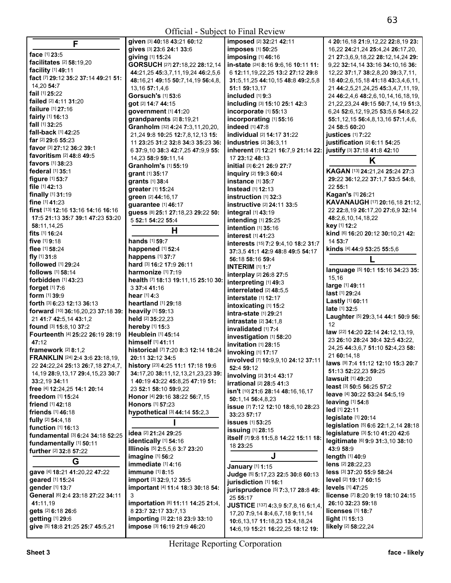|                                                                | $O(110 \mu)$ Dubject to 1 mai review |                                        |                                            |
|----------------------------------------------------------------|--------------------------------------|----------------------------------------|--------------------------------------------|
| F                                                              | given [3] 40:18 43:21 60:12          | imposed [2] 32:21 42:11                | 4 20:16,18 21:9,12,22 22:8,19 23:          |
|                                                                | gives [3] 23:6 24:1 33:6             | imposes [1] 50:25                      | 16,22 24:21,24 25:4,24 26:17,20,           |
| face [1] 23:5                                                  | giving [1] 15:24                     | imposing [1] 46:16                     | 21 27:3,6,9,18,22 28:12,14,24 29:          |
| facilitates [2] 58:19,20                                       | GORSUCH [27] 27:18,22 28:12,14       | in-state [24] 8:16 9:6,16 10:11 11:    | 9,22 32:14,14 33:16 34:10,16 36:           |
| facility [1] 49:11                                             | 44:21,25 45:3,7,11,19,24 46:2,5,6    | 6 12:11, 19, 22, 25 13: 2 27: 12 29: 8 | 12,22 37:1,7 38:2,8,20 39:3,7,11,          |
| fact [7] 29:12 35:2 37:14 49:21 51:                            | 48:16,21 49:15 50:7,14,19 56:4,8,    | 31:5,11,25 44:10,15 48:8 49:2,5,8      | 18 40:2,6,15,18 41:18 43:3,4,6,11,         |
| 14,20 54:7                                                     | 13, 16 57: 1, 4, 6                   | 51:1 59:13,17                          | 21 44:2,5,21,24,25 45:3,4,7,11,19,         |
| fail [1] 25:22                                                 | <b>Gorsuch's [1] 53:6</b>            | included [1] 9:3                       | 24 46:2,4,6 48:2,6,10,14,16,18,19,         |
| failed [2] 4:11 31:20                                          | got [2] 14:7 44:15                   | including [3] 15:10 25:1 42:3          | 21, 22, 23, 24 49: 15 50: 7, 14, 19 51: 3, |
| failure [1] 27:16                                              | government [1] 41:20                 | incorporate [1] 55:13                  | 6,24 52:6,12,19,25 53:5,6 54:8,22          |
| fairly [1] 16:13                                               | grandparents [2] 8:19,21             | incorporating [1] 55:16                | 55:1,12,15 56:4,8,13,16 57:1,4,6,          |
| fall [1] 32:25                                                 | Granholm [32] 4:24 7:3,11,20,20,     | indeed [1] 47:8                        | 24 58:5 60:20                              |
| fall-back [1] 42:25                                            | 21,24 9:8 10:25 12:7,8,12,13 15:     | individual [2] 14:17 31:22             | iustices $[1]$ 7:22                        |
| <b>far</b> [2] <b>29:</b> 6 <b>55:23</b>                       | 11 23:25 31:2 32:8 34:3 35:23 36:    | <b>industries</b> [2] 36:3,11          | justification [2] 6:11 54:25               |
| favor [3] 27:12 36:2 39:1                                      | 6 37:9,10 38:3 42:7,25 47:9,9 55:    | inherent [7] 12:21 16:7,9 21:14 22:    | justify [3] 37:18 41:8 42:10               |
| favoritism [2] 48:8 49:5                                       | 14,23 58:9 59:11,14                  | 17 23:12 48:13                         |                                            |
| <b>favors</b> [1] 38:23                                        | Granholm's [1] 55:19                 | initial [3] 6:21 26:9 27:7             | Κ                                          |
| <b>federal</b> [1] 35:1                                        |                                      |                                        | KAGAN [13] 24:21,24 25:24 27:3             |
| figure $[1]$ 53:7                                              | grant [1] 35:17                      | inquiry [2] 19:3 60:4                  | 29:22 36:12,22 37:1,7 53:5 54:8,           |
| file [1] 42:13                                                 | grants [1] 38:4                      | <b>instance</b> [1] 35:7               | 22 55:1                                    |
| finally [1] 31:19                                              | greater [1] 15:24                    | Instead $[1]$ 12:13                    | <b>Kagan's [1] 26:21</b>                   |
| fine [1] 41:23                                                 | green [2] 44:16,17                   | instruction $[1]$ 32:3                 | KAVANAUGH [17] 20:16,18 21:12,             |
| first [13] 12:16 13:16 14:16 16:16                             | guarantee [1] 46:17                  | instructive [2] 24:11 33:5             | 22 22:8,19 26:17,20 27:6,9 32:14           |
| 17:5 21:13 35:7 39:1 47:23 53:20                               | guess [8] 25:1 27:18,23 29:22 50:    | integral [1] 43:19                     |                                            |
|                                                                | 5 52:1 54:22 55:4                    | intending [1] 25:25                    | 48:2,6,10,14,18,22                         |
| 58:11,14,25                                                    | н                                    | intention [1] 35:16                    | key [1] 12:2                               |
| fits $[1]$ 16:24                                               |                                      | <b>interest</b> [1] 41:23              | kind [6] 16:20 20:12 30:10,21 42:          |
| five $[1]$ 9:18                                                | hands [1] 59:7                       | interests [15] 7:2 9:4,10 18:2 31:7    | 14 53:7                                    |
| flee $[1]$ 58:24                                               | happened [1] 52:4                    | 37:3,5 41:1 42:9 48:8 49:5 54:17       | kinds [4] 44:9 53:25 55:5,6                |
| fly $[1]$ 31:8                                                 | happens [1] 37:7                     | 56:18 58:16 59:4                       |                                            |
| followed [1] 29:24                                             | hard [3] 16:2 17:9 26:11             | <b>INTERIM [1] 1:7</b>                 | language [5] 10:1 15:16 34:23 35:          |
| follows [1] 58:14                                              | harmonize [1] 7:19                   | interplay [2] 26:8 27:5                |                                            |
| forbidden [1] 43:23                                            | health [7] 18:13 19:11,15 25:10 30:  | interpreting [1] 49:3                  | 15,16                                      |
| forget $[1]$ 7:6                                               | 3 37:4 41:16                         | interrelated [2] 48:5.5                | large [1] 49:11                            |
| <b>form</b> $[1]$ 39:9                                         | hear [1] 4:3                         | interstate [1] 12:17                   | last [1] 29:24                             |
| forth [3] 6:23 12:13 36:13                                     | heartland [1] 29:18                  | intoxicating [1] 15:2                  | Lastly [1] 60:11                           |
| forward [10] 36:16,20,23 37:18 39:                             | heavily [1] 59:13                    | intra-state [1] 29:21                  | late [1] 32:5                              |
| 21 41:7 42:5,14 43:1,2                                         | held [2] 35:22,23                    | intrastate [2] 34:1,8                  | Laughter [5] 29:3,14 44:1 50:9 56:         |
| found [3] 15:8,10 37:2                                         | hereby [1] 15:3                      | invalidated [1] 7:4                    | 12                                         |
| Fourteenth [4] 25:22 26:19 28:19                               | Heublein [1] 45:14                   | investigation [1] 58:20                | law [22] 14:20 22:14 24:12,13,19,          |
| 47:12                                                          | himself [1] 41:11                    | invitation [1] 28:15                   | 23 26:10 28:24 30:4 32:5 43:22,            |
| framework $[2]$ 8:1,2                                          | historical [7] 7:20 8:3 12:14 18:24  | invoking [1] 17:17                     | 24,25 44:3,6,7 51:10 52:4,23 58:           |
| <b>FRANKLIN</b> [24] 2:4 3:6 23:18,19,                         | 20:11 32:12 34:5                     |                                        | 21 60:14,18                                |
| 22 <b>24:</b> 22,24 <b>25:13 <b>26:</b>7,18 <b>27:</b>4,7,</b> | history [23] 4:25 11:1 17:18 19:6    | involved [7] 10:9,9,10 24:12 37:11     | laws [9] 7:4 11:12 12:10 15:3 20:7         |
| 14, 19 28: 9, 13, 17 29: 4, 15, 23 30: 7                       | 34:17,20 38:11,12,13,21,23,23 39:    | 52:4 59:12                             | 51:13 52:22,23 59:25                       |
| 33:2,19 34:11                                                  | 1 40:19 43:22 45:8,25 47:19 51:      | involving [2] 31:4 43:17               | lawsuit [1] 49:20                          |
| free [4] 12:24,25 14:1 20:14                                   | 23 52:1 58:10 59:9.22                | irrational [2] 28:5 41:3               | least [3] 50:5 56:25 57:2                  |
| freedom [1] 15:24                                              | Honor [4] 29:16 38:22 56:7,15        | isn't [10] 21:6 28:14 48:16,16,17      | leave [4] 30:22 53:24 54:5,19              |
| friend [1] 42:18                                               | <b>Honors</b> [1] 57:23              | 50:1,14 56:4,8,23                      | leaving $[1]$ 54:8                         |
| <b>friends</b> [1] 46:18                                       | hypothetical [3] 44:14 55:2,3        | issue [7] 7:12 12:10 18:6,10 28:23     | led [1] 22:11                              |
| fully [2] 54:4,18                                              |                                      | 33:23 57:17                            | legislate [1] 20:14                        |
| function [1] 16:13                                             |                                      | <b>issues</b> [1] 53:25                | legislation [5] 6:6 22:1,2,14 28:18        |
| fundamental [3] 6:24 34:18 52:25                               | idea [2] 21:24 29:25                 | <b>issuing</b> [1] 28:15               | legislature [3] 5:10 41:20 42:6            |
|                                                                | identically [1] 54:16                | itself [7] 9:8 11:5,8 14:22 15:11 18:  | legitimate [6] 9:9 31:3,10 38:10           |
| fundamentally [1] 50:11<br>further [2] 32:8 57:22              | Illinois [5] 2:5,5,6 3:7 23:20       | 18 23:25                               | 43:9 58:9                                  |
|                                                                | imagine [1] 56:2                     | J                                      | length [1] 40:9                            |
| G                                                              | immediate [1] 4:16                   |                                        | lens [2] 28:22,23                          |
| gave [4] 18:21 41:20,22 47:22                                  | immune [1] 8:15                      | January [1] 1:15                       | less [3] 37:20 55:9 58:24                  |
| geared [1] 15:24                                               | import [3] 32:9,12 35:5              | Judge [5] 5:17,23 22:5 30:8 60:13      | <b>level</b> [2] <b>19:17 60:15</b>        |
| gender [1] 13:7                                                |                                      | jurisdiction [1] 16:1                  |                                            |
|                                                                | important [4] 11:4 18:3 30:18 54:    | jurisprudence [5] 7:3,17 28:8 49:      | <b>levels</b> [1] 47:25                    |
| General [6] 2:4 23:18 27:22 34:11                              | 3                                    | 25 55:17                               | license [7] 8:20 9:19 18:10 24:15          |
| 41:11.19                                                       | importation [8] 11:11 14:25 21:4,    | JUSTICE [137] 4:3,9 5:7,8,16 6:1,4,    | 26:10 32:23 59:18                          |
| gets [2] 6:18 26:6                                             | 8 23:7 32:17 33:7,13                 | 17,20 7:9,14 8:4,6,7,18 9:11,14        | licenses $[1]$ 18:7                        |
| getting [1] 29:6                                               | importing [3] 22:18 23:9 33:10       | 10:6,13,17 11:18,23 13:4,18,24         | light [1] 15:13                            |
| give [5] 18:8 21:25 25:7 45:5,21                               | impose [3] 16:19 21:9 46:20          | 14:6,19 15:21 16:22,25 18:12 19:       | likely [2] 58:22,24                        |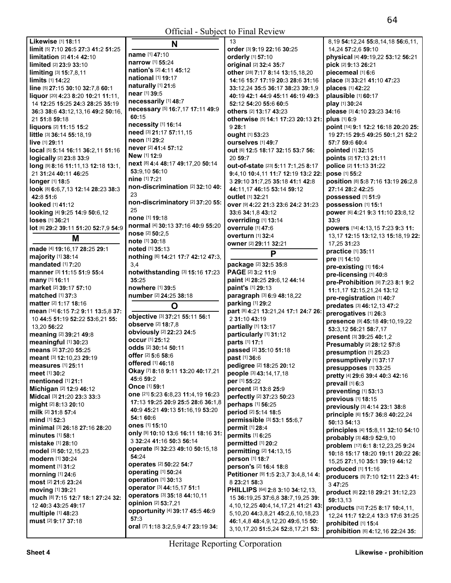|                                                       |                                                    | UHICIAI - SUDJECI IO FIIIAI REVIEW                                             |                                                                       |
|-------------------------------------------------------|----------------------------------------------------|--------------------------------------------------------------------------------|-----------------------------------------------------------------------|
| Likewise [1] 18:11                                    | N                                                  | 13                                                                             | 8,19 54:12,24 55:8,14,18 56:6,11,                                     |
| limit [5] 7:10 26:5 27:3 41:2 51:25                   |                                                    | order [3] 9:19 22:16 30:25                                                     | 14,24 57:2,6 59:10                                                    |
| limitation [2] 41:4 42:10                             | name [1] 47:10                                     | orderly [1] 57:10                                                              | physical [4] 49:19,22 53:12 56:21                                     |
| <b>limited</b> [2] 23:9 33:10                         | <b>narrow</b> [1] 55:24<br>nation's [2] 4:11 45:12 | original [2] 32:4 35:7                                                         | pick [2] 9:13 26:21                                                   |
| limiting [3] 15:7,8,11                                |                                                    | other [28] 7:17 8:14 13:15,18,20                                               | piecemeal [1] 6:6                                                     |
| <b>limits</b> [1] <b>14:22</b>                        | <b>national</b> [1] <b>19:17</b>                   | 14:16 15:7 17:19 20:3 28:6 31:16                                               | place [3] 33:21 41:10 47:23                                           |
| line [5] 27:15 30:10 32:7,8 60:1                      | naturally [1] 21:6<br>near [1] 39:5                | 33:12,24 35:5 36:17 38:23 39:1,9                                               | places [1] 42:22                                                      |
| liquor [20] 4:23 8:20 10:21 11:11,                    | necessarily [1] 48:7                               | 40:19 42:1 44:9 45:11 46:19 49:3                                               | plausible [1] 60:17                                                   |
| 14 12:25 15:25 24:3 28:25 35:19                       | necessary [5] 16:7,17 17:11 49:9                   | 52:12 54:20 55:6 60:5                                                          | play [1] 30:24                                                        |
| 36:3 38:6 43:12,13,16 49:2 50:16,                     | 60:15                                              | others [2] 13:17 43:23                                                         | please [3] 4:10 23:23 34:16                                           |
| 21 51:8 59:18                                         | necessity [1] 16:14                                | otherwise [5] 14:1 17:23 20:13 21:                                             | plus [1] 6:9                                                          |
| liquors [2] 11:15 15:2                                | need [3] 21:17 57:11,15                            | 928:1                                                                          | point [14] 9:1 12:2 16:18 20:20 25:                                   |
| little [3] 36:14 55:18,19                             | neon [1] 29:2                                      | ought [1] 53:23                                                                | 19 27:15 29:5 49:25 50:1,21 52:2                                      |
| live [1] 29:11<br>local [5] 5:14 16:11 36:2,11 51:16  | never [2] 41:4 57:12                               | Ourselves [1] 49:7                                                             | 57:7 59:6 60:4<br>pointed [1] 32:15                                   |
| logically [2] 23:8 33:9                               | New [1] 12:9                                       | out [6] 12:5 18:17 32:15 53:7 56:<br>20 59:7                                   |                                                                       |
| long [9] 8:16 11:11,13 12:18 13:1,                    | next [8] 4:4 48:17 49:17,20 50:14                  | out-of-state [23] 5:11 7:1,25 8:17                                             | points [2] 17:13 21:11<br>police [2] 11:13 31:22                      |
| 21 31:24 40:11 46:25                                  | 53:9,10 56:10                                      | 9:4,10 10:4,11 11:7 12:19 13:2 22:                                             | pose [1] 55:2                                                         |
| <b>longer</b> [1] 18:5                                | nine [1] 7:21                                      | 3 29:10 31:7,25 35:18 41:1 42:8                                                | position [8] 5:8 7:16 13:19 26:2,8                                    |
| look [8] 6:6,7,13 12:14 28:23 38:3                    | non-discrimination [2] 32:10 40:                   | 44:11,17 46:15 53:14 59:12                                                     | 27:14 28:2 42:25                                                      |
| 42:8 51:6                                             | 23                                                 | outlet [1] 32:21                                                               | possessed [1] 51:9                                                    |
| looked [1] 41:12                                      | non-discriminatory [2] 37:20 55:                   | over [9] 4:22 21:3 23:6 24:2 31:23                                             | possession [1] 15:1                                                   |
| looking [4] 9:25 14:9 50:6,12                         | 25                                                 | 33:6 34:1,8 43:12                                                              | power [6] 4:21 9:3 11:10 23:8,12                                      |
| loses [1] 36:21                                       | none [1] 19:18                                     | overriding [1] 13:14                                                           | 33:9                                                                  |
| lot [6] 29:2 39:11 51:20 52:7,9 54:9                  | normal [4] 30:13 37:16 40:9 55:20                  | overrule [1] 47:6                                                              | powers [14] 4:13,15 7:23 9:3 11:                                      |
|                                                       | nose [2] 50:2,5                                    | overturn [1] 32:4                                                              | 13, 17 12: 15 13: 12, 13 15: 18, 19 22:                               |
| M                                                     | note [1] 30:18                                     | owner [2] 29:11 32:21                                                          | 17,25 31:23                                                           |
| made [4] 19:16,17 28:25 29:1                          | noted [1] 35:13                                    | P                                                                              | practice [1] 35:11                                                    |
| majority [1] 38:14                                    | nothing [6] 14:21 17:7 42:12 47:3,                 |                                                                                | pre [1] 14:10                                                         |
| <b>mandated</b> [1] 7:20                              | 3,4                                                | package [2] 32:5 35:8                                                          | pre-existing [1] 16:4                                                 |
| manner [3] 11:15 51:9 55:4                            | notwithstanding [3] 15:16 17:23                    | PAGE [2] 3:2 11:9                                                              | pre-licensing [1] 40:8                                                |
|                                                       |                                                    |                                                                                |                                                                       |
| many [1] 16:11                                        | 35:25                                              | paint [4] 28:25 29:6,12 44:14                                                  | pre-Prohibition [9] 7:23 8:1 9:2                                      |
| market [2] 39:17 57:10                                | nowhere [1] 39:5                                   | paint's [1] 29:13                                                              | 11:1,17 12:15,21,24 13:12                                             |
| matched [1] 37:3                                      | number [2] 24:25 38:18                             | paragraph [3] 6:9 48:18,22                                                     | pre-registration [1] 40:7                                             |
| <b>matter</b> [2] <b>1:17 18:16</b>                   | O                                                  | parking [1] 29:2                                                               | predates [3] 46:12,13 47:2                                            |
| mean [14] 6:15 7:2 9:11 13:5,8 37:                    |                                                    | part [8] 4:21 13:21,24 17:1 24:7 26:                                           | prerogatives [1] 26:3                                                 |
| 10 44:5 51:19 52:22 53:6,21 55:                       | objective [3] 37:21 55:11 56:1                     | 2 31:10 43:19                                                                  | presence [9] 45:18 49:10,19,22                                        |
| 13,20 56:22                                           | observe [2] 18:7,8                                 | partially [1] 13:17                                                            | 53:3,12 56:21 58:7,17                                                 |
| meaning [2] 39:21 49:8                                | obviously [2] 22:23 24:5<br><b>occur</b> [1] 25:12 | particularly [1] 31:12                                                         | present [3] 39:25 40:1,2                                              |
| meaningful [1] 30:23                                  | odds [2] 30:14 50:11                               | parts [1] 17:1                                                                 | Presumably [2] 28:12 57:8                                             |
| means [2] 37:20 55:25                                 | offer [2] 5:6 58:6                                 | passed [2] 35:10 51:18                                                         | presumption [1] 25:23                                                 |
| meant [3] 12:10,23 29:19                              | offered [1] 46:18                                  | past [1] 36:6                                                                  | presumptively [1] 37:17                                               |
| <b>measures</b> [1] 25:11                             | Okay [7] 8:18 9:11 13:20 40:17,21                  | pedigree [2] 18:25 20:12                                                       | presupposes [1] 33:25                                                 |
| meet [1] 30:2<br>mentioned [1] 21:1                   | 45:6 59:2                                          | people [3] 43:14,17,18                                                         | pretty [4] 29:6 39:4 40:3 42:16                                       |
|                                                       | <b>Once</b> [1] 59:1                               | per [1] 55:22                                                                  | prevail [1] 6:3                                                       |
| Michigan [2] 12:9 46:12<br>Midcal [3] 21:20 23:3 33:3 | one [21] 5:23 6:8,23 11:4,19 16:23                 | percent [2] 13:8 25:9<br>perfectly [2] 37:23 50:23                             | preventing [1] 53:13                                                  |
| might [2] 8:13 20:10                                  | 17:13 19:25 20:9 25:5 28:6 36:1,8                  | perhaps [1] 56:25                                                              | previous [1] 18:15                                                    |
| milk [2] 31:8 57:4                                    | 40:9 45:21 49:13 51:16,19 53:20                    | period [2] 5:14 18:5                                                           | previously [3] 4:14 23:1 38:8                                         |
| mind [1] 52:3                                         | 54:1 60:6                                          | permissible [3] 53:1 55:6,7                                                    | principle [6] 15:7 36:8 40:22,24                                      |
| minimal [3] 26:18 27:16 28:20                         | ones [1] 15:10                                     | permit [1] 28:4                                                                | 50:13 54:13                                                           |
| minutes $[1]$ 58:1                                    | only [9] 10:10 13:6 16:11 18:16 31:                | permits [1] 6:25                                                               | principles [4] 15:8,11 32:10 54:10                                    |
| <b>mistake</b> [1] 28:10                              | 3 32:24 41:16 50:3 56:14                           | permitted [1] 20:2                                                             | probably [3] 48:9 52:9,10                                             |
| model [3] 50:12,15,23                                 | operate [5] 32:23 49:10 50:15,18                   | permitting [2] 14:13,15                                                        | problem [17] 6:1 8:12,23,25 9:24<br>10:18 15:17 18:20 19:11 20:22 26: |
| modern [1] 30:24                                      | 54:24                                              | person [1] 18:7                                                                | 15,25 27:1,10 35:1 39:19 44:12                                        |
| moment [1] 31:2                                       | operates [2] 50:22 54:7                            | person's [2] 16:4 18:8                                                         | produced [1] 11:16                                                    |
| morning [1] 24:6                                      | operating [1] 50:24                                | Petitioner [9] 1:5 2:3,7 3:4,8,14 4:                                           | producers [5] 7:10 12:11 22:3 41:                                     |
| most [2] 21:6 23:24                                   | operation [1] 30:13                                | 8 23:21 58:3                                                                   | 3 47:25                                                               |
| moving [1] 39:21                                      | operator [3] 44:15,17 51:1                         | PHILLIPS [64] 2:8 3:10 34:12,13,                                               | product [6] 22:18 29:21 31:12,23                                      |
| much [8] 7:15 12:7 18:1 27:24 32:                     | operators [3] 35:18 44:10,11                       | 15 36:19,25 37:6,8 38:7,19,25 39:                                              | 59:13,13                                                              |
| 12 40:3 43:25 49:17                                   | opinion [2] 53:7,21                                | 4, 10, 12, 25 40: 4, 14, 17, 21 41: 21 43:                                     | products [12] 7:25 8:17 10:4,11,                                      |
| multiple [1] 48:23                                    | opportunity [4] 39:17 45:5 46:9<br>57:3            | 5, 10, 20 44: 3, 8, 21 45: 2, 6, 10, 18, 23                                    | 12,24 11:7 12:2,4 13:3 17:6 31:25                                     |
| must [2] 9:17 37:18                                   | oral [7] 1:18 3:2,5,9 4:7 23:19 34:                | 46:1,4,8 48:4,9,12,20 49:6,15 50:<br>3, 10, 17, 20 51: 5, 24 52: 8, 17, 21 53: | prohibited [1] 15:4<br>prohibition [6] 4:12,16 22:24 35:              |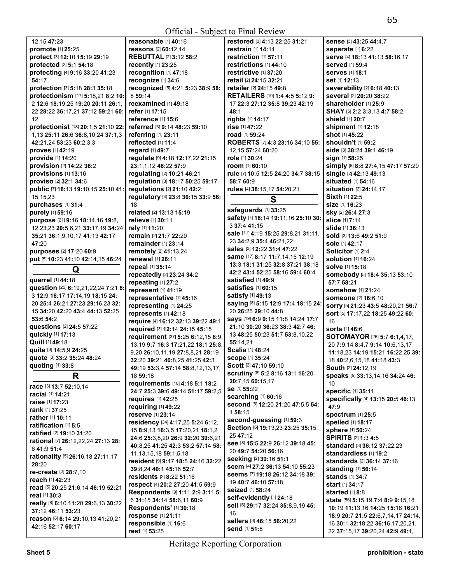| 12, 15 47: 23                                            | reasonable $[1]$ 40:16                    | restored [3] 4:13 22:25 31:21                            | Sense [3] 43:25 44:4,7                                                  |
|----------------------------------------------------------|-------------------------------------------|----------------------------------------------------------|-------------------------------------------------------------------------|
| promote [1] 25:25                                        | reasons [2] 60:12,14                      | restrain $[1]$ 14:14                                     | separate [1] 6:22                                                       |
| protect [3] 12:10 15:19 29:19                            | <b>REBUTTAL [2] 3:12 58:2</b>             | restriction [1] 57:11                                    | serve [4] 18:13 41:13 58:16,17                                          |
| protected [2] 5:1 54:18                                  | recently [1] 23:25                        | restrictions [1] 44:10                                   | <b>served</b> [1] 59:4                                                  |
| protecting [4] 9:16 33:20 41:23                          | recognition [1] 47:18                     | restrictive [1] 37:20                                    | <b>serves</b> [1] 18:1                                                  |
| 54:17                                                    | recognize [1] 34:6                        | retail [2] 24:15 32:21                                   | set [1] 12:13                                                           |
| protection [3] 5:18 28:3 35:18                           | recognized [5] 4:21 5:23 38:9 58:         | <b>retailer</b> [2] <b>24:15 49:8</b>                    | severability [2] 6:18 40:13                                             |
| protectionism [17] 5:18,21 8:2 10:                       | 8 59:14                                   | <b>RETAILERS</b> [10] <b>1:4 4:5 5:12 9:</b>             | several [2] 20:20 38:22                                                 |
| 2 12:6 18:19,25 19:20 20:11 26:1,                        | reexamined [1] 49:18                      | 17 22:3 27:12 35:8 39:23 42:19                           | shareholder [1] 25:9                                                    |
| 22 28:22 36:17,21 37:12 59:21 60:                        | refer [1] 17:15                           | 48:1                                                     | SHAY [5] 2:2 3:3,13 4:7 58:2                                            |
| 12                                                       | reference [1] 15:6                        | rights [1] 14:17                                         | shield [1] 20:7                                                         |
| protectionist [18] 20:1,5 21:10 22:                      | referred [3] 9:14 48:23 59:10             | rise [1] 47:22                                           | shipment [1] 12:18                                                      |
| 1,13 25:11 26:6 36:8,10,24 37:1,3                        | referring [1] 23:11                       | road [1] 59:24                                           | shot [1] 45:22                                                          |
| 42:21,24 53:23 60:2,3,3                                  | reflected [1] 11:4                        | ROBERTS [7] 4:3 23:16 34:10 55:                          | shouldn't [1] 59:2                                                      |
| proves [1] 42:19                                         | regard [1] 49:7                           | 12,15 57:24 60:20                                        | <b>side</b> [3] <b>38:24 39:1 46:1</b> 9                                |
| provide [1] 14:20                                        | regulate [9] 4:18 12:17,22 21:15          | role [1] 30:24                                           | sign [1] 58:25                                                          |
|                                                          |                                           |                                                          |                                                                         |
| provision [2] 14:22 36:2                                 | 23:1,1,12 46:22 57:9                      | room [1] 60:10                                           | simply [5] 8:8 27:4,15 47:17 57:20                                      |
| provisions [1] 13:16                                     | regulating [2] 10:21 46:21                | rule [7] 10:5 12:5 24:20 34:7 38:15                      | single [2] 42:13 49:13                                                  |
| proviso [2] 32:1 34:6                                    | regulation [3] 18:17 50:25 59:17          | 58:7 60:9                                                | situated [1] 54:16                                                      |
| public [7] 18:13 19:10,15 25:10 41:                      | regulations [2] 21:10 42:2                | rules [4] 38:15,17 54:20,21                              | <b>situation</b> [2] 24:14,17                                           |
| 15,15,23                                                 | regulatory [4] 23:8 30:15 33:9 56:        | S                                                        | Sixth [1] 22:5                                                          |
| purchases [1] 31:4                                       | 18                                        | safeguards [1] 33:25                                     | <b>size</b> [1] <b>16:23</b>                                            |
| purely [1] 59:16                                         | related [2] 13:13 15:19                   | safety [7] 18:14 19:11,16 25:10 30:                      | sky [2] 26:4 27:3                                                       |
| purpose [21] 9:16 18:14,16 19:8,                         | <b>relieve</b> [1] 30:11                  |                                                          | <b>slice</b> [1] 7:14                                                   |
| 12,23,23 20:5,6,21 33:17,19 34:24                        | rely [1] 11:20                            | 3 37:4 41:15                                             | <b>slide</b> [1] 36:13                                                  |
| 35:21 36:1,9,10,17 41:13 42:17                           | remain [2] 21:7 22:20                     | sale [11] 4:19 15:25 29:8,21 31:11,                      | sold [3] 13:6 49:2 51:9                                                 |
| 47:20                                                    | remainder $[1]$ 23:14                     | 23 34:2,9 35:4 46:21,22                                  | sole [1] 42:17                                                          |
| purposes [2] 17:20 60:9                                  | <b>remotely</b> [2] 41:13,24              | sales [3] 12:22 31:4 47:22                               | Solicitor [1] 2:4                                                       |
| put [5] 10:23 41:10 42:14,15 46:24                       | renewal [1] 26:11                         | <b>same</b> [17] <b>8:17 11:7,14,15 12:19</b>            | <b>solution [1] 16:24</b>                                               |
| Q                                                        | repeal [1] 35:14                          | 13:3 18:1 31:25 32:8 37:21 38:18                         | <b>solve</b> [1] <b>15:18</b>                                           |
|                                                          | repeatedly [2] 23:24 34:2                 | 42:2 43:4 52:25 58:16 59:4 60:4                          | somebody [5] 18:4 35:13 53:10                                           |
| quarrel [1] 44:18                                        |                                           | satisfied [1] 49:9                                       |                                                                         |
|                                                          | repeating [1] 27:2                        |                                                          | 57:7 58:21                                                              |
| question [25] 6:19,21,22,24 7:21 8                       | represent [1] 41:19                       | <b>satisfies</b> [1] <b>60:</b> 15                       | <b>somehow</b> [1] 21:24                                                |
| 3 12:9 16:17 17:14,19 18:15 24:                          | representative [1] 45:16                  | <b>satisfy</b> [1] <b>49:</b> 13                         | someone [2] 16:6,10                                                     |
| 20 25:4 26:21 27:23 29:16,23 32:                         | representing [1] 24:25                    | saying [8] 5:15 12:9 17:4 18:15 24:                      |                                                                         |
| 15 34:20 42:20 43:4 44:13 52:25                          |                                           | 20 26:25 29:10 44:8                                      | sorry [5] 21:23 43:5 48:20,21 56:7<br>sort [5] 17:17,22 18:25 49:22 60: |
| 53:6 54:2                                                | represents [1] 42:18                      | says [19] 6:9 9:15 11:8 14:24 17:7                       | 16                                                                      |
| questions [2] 24:5 57:22                                 | require [4] 16:12 32:13 39:22 49:1        | 21:10 30:20 36:23 38:3 42:7 46:                          | <b>sorts</b> [1] 46:6                                                   |
| quickly [1] 17:13                                        | required [3] 12:14 24:15 45:15            | 13 48:25 50:23 51:7 53:8,10,22                           |                                                                         |
| Quill [1] 49:18                                          | requirement [37] 5:25 6:12,15 8:9,        | 55:14,21                                                 | <b>SOTOMAYOR</b> [26] <b>5:7 6:1,4,17,</b>                              |
| quite [3] 14:5,9 24:25                                   | 13, 19 9: 7 16: 3 17: 21, 22 18: 1 25: 8, | Scalia [1] 48:24                                         | 20 7:9.14 8:4.7 9:14 10:6.13.17                                         |
| quote [3] 33:2 35:24 48:24                               | 9,20 26:10,11,19 27:8,8,21 28:19          | <b>scope [1] 35:24</b>                                   | 11:18,23 14:19 15:21 16:22,25 39:                                       |
| <b>quoting</b> [1] <b>33:</b> 8                          | 32:20 39:21 40:8,25 41:25 42:3            | Scott [2] 47:10 59:10                                    | 18 40:2,6,15,18 41:18 43:3                                              |
|                                                          | 49:19 53:3,4 57:14 58:8,12,13,17,         | scrutiny [8] 5:2 8:16 13:1 16:20                         | South [2] 24:12,19                                                      |
| R                                                        | 18 59:18                                  | 20:7,15 60:15,17                                         | speaks [5] 33:13,14,16 34:24 46:                                        |
| race [3] 13:7 52:10,14                                   | requirements [10] 4:18 5:1 18:2           | se [1] 55:22                                             | 10                                                                      |
| racial [1] 14:21                                         | 24:7 25:3 39:6 49:14 51:17 59:2,5         | searching [1] 60:16                                      | specific [1] 35:11                                                      |
| raise [1] 17:23                                          | requires $[1]$ 42:25                      | Second [6] 12:20 21:20 47:5,5 54:                        | specifically [4] 13:15 20:5 46:13                                       |
| rank [1] 37:25                                           | requiring [1] 49:22                       | 1 58:15                                                  | 47:9                                                                    |
| rather [1] 10:11                                         | reserve [1] 23:14                         | second-guessing [1] 59:3                                 | spectrum [1] 25:5                                                       |
| ratification [1] 5:5                                     | residency [34] 4:17,25 5:24 6:12,         |                                                          | spelled [1] 18:17                                                       |
| ratified [2] 19:10 31:20                                 | 15 8:9,13 16:3,5 17:20,21 18:1,2          | Section [6] 19:13,23 23:25 35:15,<br>25 47:12            | sphere [1] 50:24                                                        |
| rational [7] 26:12,22,24 27:13 28:                       | 24:6 25:3,8,20 26:9 32:20 39:6,21         |                                                          | <b>SPIRITS [2] 1:3 4:5</b>                                              |
| 6 41:9 51:4                                              | 40:8,25 41:25 42:3 53:2 57:14 58:         | See [8] 15:5 22:9 26:12 39:18 45:<br>20 49:7 54:20 56:16 | standard [3] 36:12 37:22,23                                             |
| rationality [5] 26:16,18 27:11,17                        | 11, 13, 15, 18 59: 1, 5, 18               |                                                          | standardless [1] 19:2                                                   |
| 28:20                                                    | resident [9] 9:17 18:5 24:16 32:22        | seeking [2] 39:16 51:1                                   | standards [2] 36:14 37:16                                               |
| re-create [2] 28:7,10                                    | 39:8.24 40:1 45:16 52:7                   | seem [4] 27:2 36:13 54:10 55:23                          | standing [1] 56:14                                                      |
| reach [1] 42:23                                          | residents [2] 8:22 51:16                  | seems [7] 19:18 26:12 34:18 39:                          | <b>stands</b> [1] 34:7                                                  |
| read [5] 20:25 21:6,14 46:19 52:21                       | respect [4] 20:2 27:20 41:5 59:9          | 19 40:7 46:10 57:18                                      | start [1] 34:17                                                         |
| real [1] 30:3                                            | Respondents [9] 1:11 2:9 3:11 5:          | <b>seized</b> [1] <b>58:24</b>                           | started [1] 8:8                                                         |
|                                                          | 6 31:15 34:14 58:6,11 60:9                | self-evidently [1] 24:18                                 | <b>state</b> [56] <b>5:15,19 7:4 8:9 9:15,18</b>                        |
| really [8] 6:10 11:20 29:6,13 30:22<br>37:12 46:11 53:23 | Respondents' [1] 30:18                    | sell [6] 29:17 32:24 35:8,9,19 45:                       | 10:19 11:13,16 14:25 15:18 16:21                                        |
|                                                          | response [1] 21:11                        | 16                                                       | 18:9 20:7 21:5 22:6,7,14,17 24:14,                                      |
| reason [8] 6:14 29:10,13 41:20,21<br>42:16 52:17 60:17   | responsible [1] 16:6<br>rest [1] 53:25    | sellers [3] 46:15 56:20,22<br>send [1] 51:8              | 16 30:1 32:18,22 36:16,17,20,21,<br>22 37:15,17 39:20,24 42:9 49:1,     |